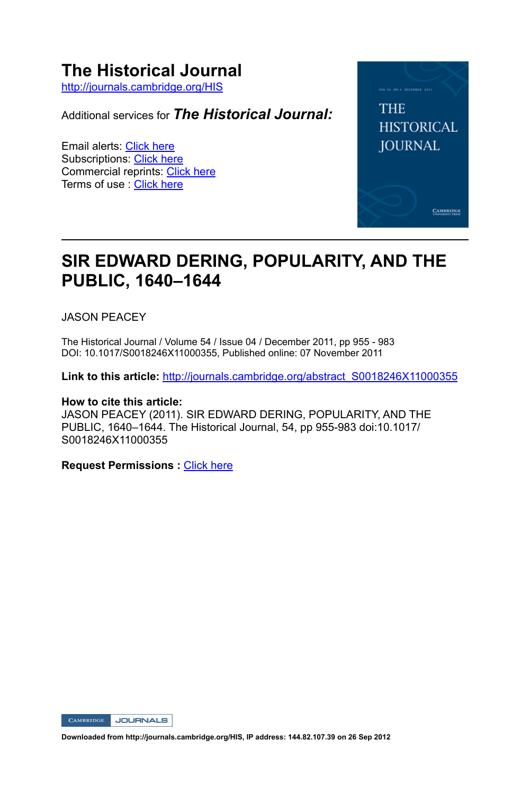# **The Historical Journal**

http://journals.cambridge.org/HIS

Additional services for *The Historical Journal:*

Email alerts: Click here Subscriptions: Click here Commercial reprints: Click here Terms of use : Click here



## **SIR EDWARD DERING, POPULARITY, AND THE PUBLIC, 1640–1644**

JASON PEACEY

The Historical Journal / Volume 54 / Issue 04 / December 2011, pp 955 - 983 DOI: 10.1017/S0018246X11000355, Published online: 07 November 2011

**Link to this article:** http://journals.cambridge.org/abstract\_S0018246X11000355

#### **How to cite this article:**

JASON PEACEY (2011). SIR EDWARD DERING, POPULARITY, AND THE PUBLIC, 1640-1644. The Historical Journal, 54, pp 955-983 doi:10.1017/ S0018246X11000355

### **Request Permissions : Click here**

CAMBRIDGE JOURNALS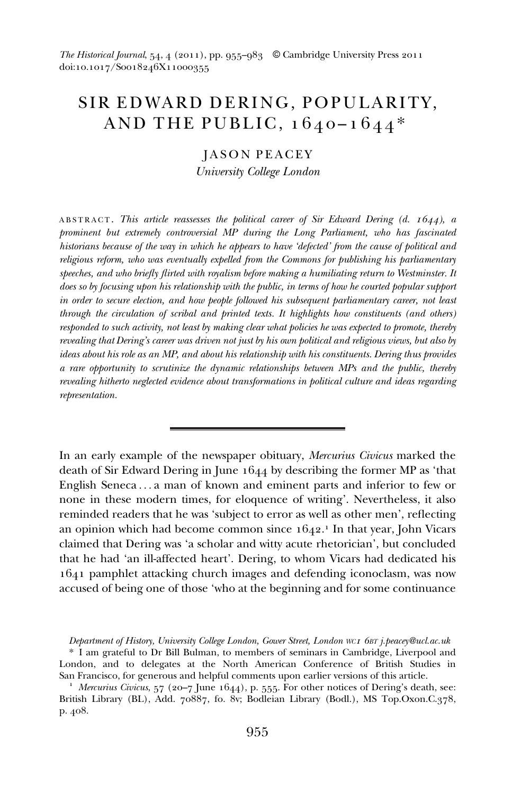## SIR EDWARD DERING, POPULARITY, AND THE PUBLIC,  $1640 - 1644*$

JASON PEACEY

University College London

ABSTRACT. This article reassesses the political career of Sir Edward Dering  $(d. 1644)$ , a prominent but extremely controversial MP during the Long Parliament, who has fascinated historians because of the way in which he appears to have 'defected' from the cause of political and religious reform, who was eventually expelled from the Commons for publishing his parliamentary speeches, and who briefly flirted with royalism before making a humiliating return to Westminster. It does so by focusing upon his relationship with the public, in terms of how he courted popular support in order to secure election, and how people followed his subsequent parliamentary career, not least through the circulation of scribal and printed texts. It highlights how constituents (and others) responded to such activity, not least by making clear what policies he was expected to promote, thereby revealing that Dering's career was driven not just by his own political and religious views, but also by ideas about his role as an MP, and about his relationship with his constituents. Dering thus provides a rare opportunity to scrutinize the dynamic relationships between MPs and the public, thereby revealing hitherto neglected evidence about transformations in political culture and ideas regarding representation.

In an early example of the newspaper obituary, Mercurius Civicus marked the death of Sir Edward Dering in June  $1644$  by describing the former MP as 'that English Seneca ... a man of known and eminent parts and inferior to few or none in these modern times, for eloquence of writing'. Nevertheless, it also reminded readers that he was 'subject to error as well as other men', reflecting an opinion which had become common since  $1642.$ <sup>1</sup> In that year, John Vicars claimed that Dering was 'a scholar and witty acute rhetorician', but concluded that he had 'an ill-affected heart'. Dering, to whom Vicars had dedicated his pamphlet attacking church images and defending iconoclasm, was now accused of being one of those 'who at the beginning and for some continuance

Department of History, University College London, Gower Street, London WCI 6BT j.peacey@ucl.ac.uk

<sup>\*</sup> I am grateful to Dr Bill Bulman, to members of seminars in Cambridge, Liverpool and London, and to delegates at the North American Conference of British Studies in San Francisco, for generous and helpful comments upon earlier versions of this article.<br>  $^1$  Mercurius Civicus, 57 (20-7 June 1644), p. 555. For other notices of Dering's death, see:

British Library (BL), Add.  $70887$ , fo. 8v; Bodleian Library (Bodl.), MS Top.Oxon.C.378, p. 408.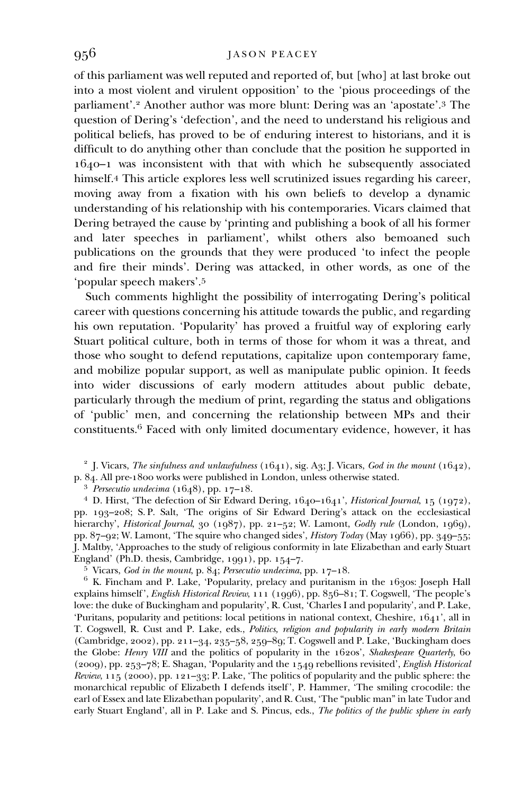### 956 JASON PEACEY

of this parliament was well reputed and reported of, but [who] at last broke out into a most violent and virulent opposition' to the 'pious proceedings of the parliament'.<sup>2</sup> Another author was more blunt: Dering was an 'apostate'.<sup>3</sup> The question of Dering's 'defection', and the need to understand his religious and political beliefs, has proved to be of enduring interest to historians, and it is difficult to do anything other than conclude that the position he supported in  $1640 - 1$  was inconsistent with that with which he subsequently associated himself.<sup>4</sup> This article explores less well scrutinized issues regarding his career, moving away from a fixation with his own beliefs to develop a dynamic understanding of his relationship with his contemporaries. Vicars claimed that Dering betrayed the cause by 'printing and publishing a book of all his former and later speeches in parliament', whilst others also bemoaned such publications on the grounds that they were produced 'to infect the people and fire their minds'. Dering was attacked, in other words, as one of the 'popular speech makers'.

Such comments highlight the possibility of interrogating Dering's political career with questions concerning his attitude towards the public, and regarding his own reputation. 'Popularity' has proved a fruitful way of exploring early Stuart political culture, both in terms of those for whom it was a threat, and those who sought to defend reputations, capitalize upon contemporary fame, and mobilize popular support, as well as manipulate public opinion. It feeds into wider discussions of early modern attitudes about public debate, particularly through the medium of print, regarding the status and obligations of 'public' men, and concerning the relationship between MPs and their constituents.<sup>6</sup> Faced with only limited documentary evidence, however, it has

<sup>2</sup> J. Vicars, *The sinfulness and unlawfulness* (1641), sig. A3; J. Vicars, *God in the mount* (1642), p. 84. All pre-1800 works were published in London, unless otherwise stated.

<sup>3</sup> Persecutio undecima (1648), pp. 17–18.<br><sup>4</sup> D. Hirst, 'The defection of Sir Edward Dering, 1640–1641', *Historical Journal*, 15 (1972), pp. 193-208; S.P. Salt, 'The origins of Sir Edward Dering's attack on the ecclesiastical hierarchy', Historical Journal,  $30 \ (1987)$ , pp. 21-52; W. Lamont, Godly rule (London, 1969), pp.  $87-92$ ; W. Lamont, 'The squire who changed sides', *History Today* (May 1966), pp.  $349-55$ ; J. Maltby, 'Approaches to the study of religious conformity in late Elizabethan and early Stuart

<sup>5</sup> Vicars, *God in the mount*, p.  $84$ ; *Persecutio undecima*, pp. 17–18.<br><sup>6</sup> K. Fincham and P. Lake, 'Popularity, prelacy and puritanism in the 1630s: Joseph Hall explains himself', English Historical Review, 111 (1996), pp. 856-81; T. Cogswell, 'The people's love: the duke of Buckingham and popularity', R. Cust, 'Charles I and popularity', and P. Lake, 'Puritans, popularity and petitions: local petitions in national context, Cheshire,  $1641'$ , all in T. Cogswell, R. Cust and P. Lake, eds., Politics, religion and popularity in early modern Britain (Cambridge, 2002), pp. 211-34, 235-58, 259-89; T. Cogswell and P. Lake, 'Buckingham does the Globe: Henry VIII and the politics of popularity in the 1620s', Shakespeare Quarterly, 60 (2009), pp. 253-78; E. Shagan, 'Popularity and the  $1549$  rebellions revisited', English Historical Review, 115 (2000), pp. 121-33; P. Lake, 'The politics of popularity and the public sphere: the monarchical republic of Elizabeth I defends itself', P. Hammer, 'The smiling crocodile: the earl of Essex and late Elizabethan popularity', and R. Cust, 'The "public man" in late Tudor and early Stuart England', all in P. Lake and S. Pincus, eds., The politics of the public sphere in early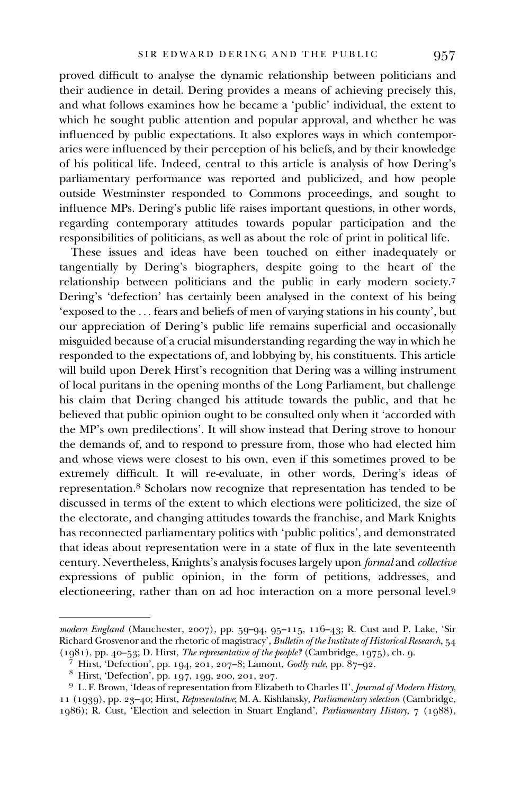proved difficult to analyse the dynamic relationship between politicians and their audience in detail. Dering provides a means of achieving precisely this, and what follows examines how he became a 'public' individual, the extent to which he sought public attention and popular approval, and whether he was influenced by public expectations. It also explores ways in which contemporaries were influenced by their perception of his beliefs, and by their knowledge of his political life. Indeed, central to this article is analysis of how Dering's parliamentary performance was reported and publicized, and how people outside Westminster responded to Commons proceedings, and sought to influence MPs. Dering's public life raises important questions, in other words, regarding contemporary attitudes towards popular participation and the responsibilities of politicians, as well as about the role of print in political life.

These issues and ideas have been touched on either inadequately or tangentially by Dering's biographers, despite going to the heart of the relationship between politicians and the public in early modern society.<sup>7</sup> Dering's 'defection' has certainly been analysed in the context of his being 'exposed to the ... fears and beliefs of men of varying stations in his county', but our appreciation of Dering's public life remains superficial and occasionally misguided because of a crucial misunderstanding regarding the way in which he responded to the expectations of, and lobbying by, his constituents. This article will build upon Derek Hirst's recognition that Dering was a willing instrument of local puritans in the opening months of the Long Parliament, but challenge his claim that Dering changed his attitude towards the public, and that he believed that public opinion ought to be consulted only when it 'accorded with the MP's own predilections'. It will show instead that Dering strove to honour the demands of, and to respond to pressure from, those who had elected him and whose views were closest to his own, even if this sometimes proved to be extremely difficult. It will re-evaluate, in other words, Dering's ideas of representation. Scholars now recognize that representation has tended to be discussed in terms of the extent to which elections were politicized, the size of the electorate, and changing attitudes towards the franchise, and Mark Knights has reconnected parliamentary politics with 'public politics', and demonstrated that ideas about representation were in a state of flux in the late seventeenth century. Nevertheless, Knights's analysis focuses largely upon formal and collective expressions of public opinion, in the form of petitions, addresses, and electioneering, rather than on ad hoc interaction on a more personal level.

modern England (Manchester, 2007), pp. 59-94, 95-115, 116-43; R. Cust and P. Lake, 'Sir Richard Grosvenor and the rhetoric of magistracy', Bulletin of the Institute of Historical Research, 54 (1981), pp. 40–53; D. Hirst, *The representative of the people*? (Cambridge, 1975), ch. 9.<br>
<sup>7</sup> Hirst, 'Defection', pp. 194, 201, 207–8; Lamont, *Godly rule*, pp. 87–92.<br>
<sup>8</sup> Hirst, 'Defection', pp. 197, 199, 200, 201, 20

<sup>11 (1939),</sup> pp. 23-40; Hirst, Representative, M. A. Kishlansky, Parliamentary selection (Cambridge, 1986); R. Cust, 'Election and selection in Stuart England', Parliamentary History, 7 (1988),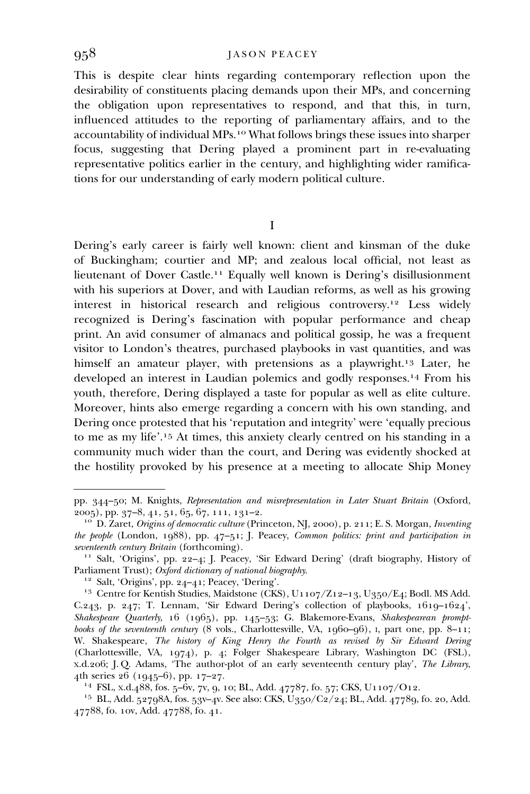This is despite clear hints regarding contemporary reflection upon the desirability of constituents placing demands upon their MPs, and concerning the obligation upon representatives to respond, and that this, in turn, influenced attitudes to the reporting of parliamentary affairs, and to the accountability of individual MPs.<sup>10</sup> What follows brings these issues into sharper focus, suggesting that Dering played a prominent part in re-evaluating representative politics earlier in the century, and highlighting wider ramifications for our understanding of early modern political culture.

I

Dering's early career is fairly well known: client and kinsman of the duke of Buckingham; courtier and MP; and zealous local official, not least as lieutenant of Dover Castle.<sup>11</sup> Equally well known is Dering's disillusionment with his superiors at Dover, and with Laudian reforms, as well as his growing interest in historical research and religious controversy.<sup>12</sup> Less widely recognized is Dering's fascination with popular performance and cheap print. An avid consumer of almanacs and political gossip, he was a frequent visitor to London's theatres, purchased playbooks in vast quantities, and was himself an amateur player, with pretensions as a playwright.<sup>13</sup> Later, he developed an interest in Laudian polemics and godly responses.<sup>14</sup> From his youth, therefore, Dering displayed a taste for popular as well as elite culture. Moreover, hints also emerge regarding a concern with his own standing, and Dering once protested that his 'reputation and integrity' were 'equally precious to me as my life'.<sup>15</sup> At times, this anxiety clearly centred on his standing in a community much wider than the court, and Dering was evidently shocked at the hostility provoked by his presence at a meeting to allocate Ship Money

pp.  $344-50$ ; M. Knights, Representation and misrepresentation in Later Stuart Britain (Oxford,  $2005$ ), pp.  $37-8$ ,  $41$ ,  $51$ ,  $65$ ,  $67$ ,  $111$ ,  $131-2$ .

<sup>&</sup>lt;sup>10</sup> D. Zaret, *Origins of democratic culture* (Princeton, NJ, 2000), p. 211; E. S. Morgan, *Inventing* the people (London, 1988), pp.  $47-51$ ; J. Peacey, Common politics: print and participation in

seventeenth century Britain (forthcoming).<br>
<sup>11</sup> Salt, 'Origins', pp. 22–4; J. Peacey, 'Sir Edward Dering' (draft biography, History of<br>
Parliament Trust); Oxford dictionary of national biography.

<sup>&</sup>lt;sup>12</sup> Salt, 'Origins', pp. 24–41; Peacey, 'Dering'.<br><sup>13</sup> Centre for Kentish Studies, Maidstone (CKS), U1107/Z12–13, U350/E4; Bodl. MS Add. C.243, p. 247; T. Lennam, 'Sir Edward Dering's collection of playbooks,  $1619-1624'$ , Shakespeare Quarterly, 16 (1965), pp. 145-53; G. Blakemore-Evans, Shakespearean promptbooks of the seventeenth century  $(8 \text{ vols.}, \text{Charlottesville}, \text{VA}, 1060-06)$ , I, part one, pp.  $8-11$ ; W. Shakespeare, The history of King Henry the Fourth as revised by Sir Edward Dering (Charlottesville, VA, 1974), p. 4; Folger Shakespeare Library, Washington DC (FSL), x.d.206; J. Q. Adams, 'The author-plot of an early seventeenth century play', The Library,

<sup>4</sup>th series 26 (1945–6), pp. 17–27.<br><sup>14</sup> FSL, x.d.488, fos. 5–6v, 7v, 9, 10; BL, Add. 47787, fo. 57; CKS, U1107/O12.<br><sup>15</sup> BL, Add. 52798A, fos. 53v–4v. See also: CKS, U350/C2/24; BL, Add. 47789, fo. 20, Add. 47788, fo. 10v, Add. 47788, fo. 41.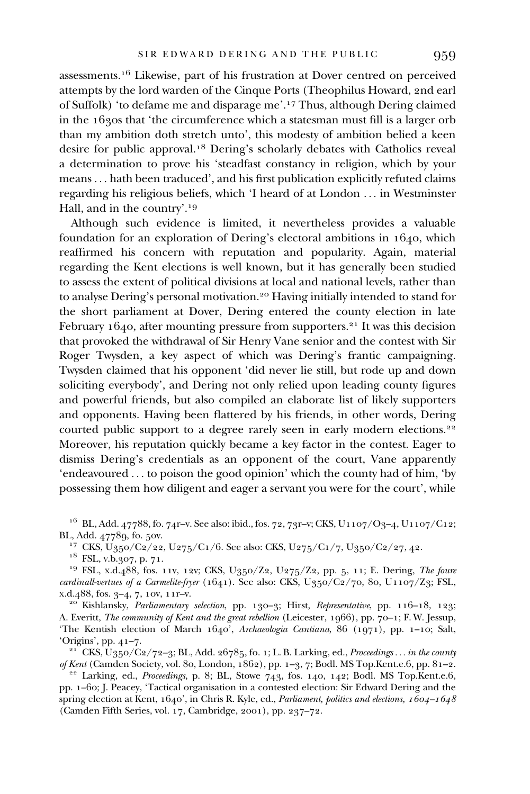assessments.<sup>16</sup> Likewise, part of his frustration at Dover centred on perceived attempts by the lord warden of the Cinque Ports (Theophilus Howard, 2nd earl of Suffolk) 'to defame me and disparage me'. Thus, although Dering claimed in the  $163$ os that 'the circumference which a statesman must fill is a larger orb than my ambition doth stretch unto', this modesty of ambition belied a keen desire for public approval.<sup>18</sup> Dering's scholarly debates with Catholics reveal a determination to prove his 'steadfast constancy in religion, which by your means ... hath been traduced', and his first publication explicitly refuted claims regarding his religious beliefs, which 'I heard of at London ... in Westminster Hall, and in the country'.<sup>19</sup>

Although such evidence is limited, it nevertheless provides a valuable foundation for an exploration of Dering's electoral ambitions in  $1640$ , which reaffirmed his concern with reputation and popularity. Again, material regarding the Kent elections is well known, but it has generally been studied to assess the extent of political divisions at local and national levels, rather than to analyse Dering's personal motivation.<sup>20</sup> Having initially intended to stand for the short parliament at Dover, Dering entered the county election in late February 1640, after mounting pressure from supporters.<sup>21</sup> It was this decision that provoked the withdrawal of Sir Henry Vane senior and the contest with Sir Roger Twysden, a key aspect of which was Dering's frantic campaigning. Twysden claimed that his opponent 'did never lie still, but rode up and down soliciting everybody', and Dering not only relied upon leading county figures and powerful friends, but also compiled an elaborate list of likely supporters and opponents. Having been flattered by his friends, in other words, Dering courted public support to a degree rarely seen in early modern elections. Moreover, his reputation quickly became a key factor in the contest. Eager to dismiss Dering's credentials as an opponent of the court, Vane apparently 'endeavoured ... to poison the good opinion' which the county had of him, 'by possessing them how diligent and eager a servant you were for the court', while

<sup>16</sup> BL, Add. 47788, fo. 74r–v. See also: ibid., fos. 72, 73r–v; CKS, U1107/O3–4, U1107/C12; BL, Add. 47789, fo. 50v.

<sup>17</sup> CKS, U<sub>250</sub>/C<sub>2</sub>/22, U<sub>275</sub>/C<sub>1</sub>/6. See also: CKS, U<sub>275</sub>/C<sub>1</sub>/7, U<sub>350</sub>/C<sub>2</sub>/27, 42.<br><sup>18</sup> FSL, v.b.307, p. 71.<br><sup>19</sup> FSL, x.d.488, fos. 11v, 12v; CKS, U<sub>35</sub>0/Z<sub>2</sub>, U<sub>275</sub>/Z<sub>2</sub>, pp. 5, 11; E. Dering, *The foure* cardinall-vertues of a Carmelite-fryer  $(1641)$ . See also: CKS, U350/C2/70, 80, U1107/Z3; FSL,  $x.d.488$ , fos. 3-4, 7, 10v, 11r–v.<br><sup>20</sup> Kishlansky, *Parliamentary selection*, pp. 130–3; Hirst, *Representative*, pp. 116–18, 123;

A. Everitt, The community of Kent and the great rebellion (Leicester, 1966), pp. 70-1; F. W. Jessup, 'The Kentish election of March  $1640$ ', Archaeologia Cantiana, 86 (1971), pp. 1-10; Salt, 'Origins', pp. 41–7.<br><sup>21</sup> CKS, U350/C2/72–3; BL, Add. 26785, fo. 1; L. B. Larking, ed., *Proceedings* ... *in the county* 

of Kent (Camden Society, vol. 80, London,  $1862$ ), pp.  $1-3$ , 7; Bodl. MS Top.Kent.e.6, pp.  $81-2$ .<br><sup>22</sup> Larking, ed., *Proceedings*, p. 8; BL, Stowe 743, fos. 140, 142; Bodl. MS Top.Kent.e.6,

pp. 1-60; J. Peacey, 'Tactical organisation in a contested election: Sir Edward Dering and the spring election at Kent,  $1640'$ , in Chris R. Kyle, ed., *Parliament, politics and elections, 1604-1648* (Camden Fifth Series, vol.  $17$ , Cambridge, 2001), pp. 237-72.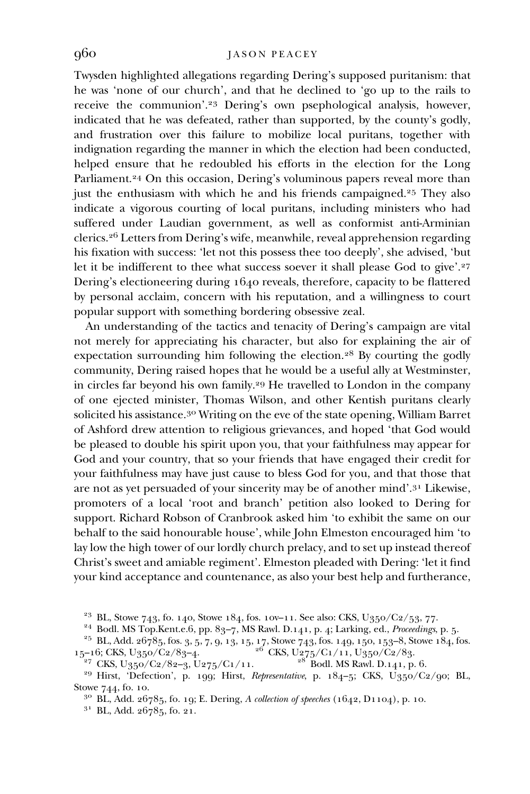Twysden highlighted allegations regarding Dering's supposed puritanism: that he was 'none of our church', and that he declined to 'go up to the rails to receive the communion'.<sup>23</sup> Dering's own psephological analysis, however, indicated that he was defeated, rather than supported, by the county's godly, and frustration over this failure to mobilize local puritans, together with indignation regarding the manner in which the election had been conducted, helped ensure that he redoubled his efforts in the election for the Long Parliament.<sup>24</sup> On this occasion, Dering's voluminous papers reveal more than just the enthusiasm with which he and his friends campaigned.<sup>25</sup> They also indicate a vigorous courting of local puritans, including ministers who had suffered under Laudian government, as well as conformist anti-Arminian clerics.<sup>26</sup> Letters from Dering's wife, meanwhile, reveal apprehension regarding his fixation with success: 'let not this possess thee too deeply', she advised, 'but let it be indifferent to thee what success soever it shall please God to give'.<sup>27</sup> Dering's electioneering during  $1640$  reveals, therefore, capacity to be flattered by personal acclaim, concern with his reputation, and a willingness to court popular support with something bordering obsessive zeal.

An understanding of the tactics and tenacity of Dering's campaign are vital not merely for appreciating his character, but also for explaining the air of expectation surrounding him following the election.<sup>28</sup> By courting the godly community, Dering raised hopes that he would be a useful ally at Westminster, in circles far beyond his own family.<sup>29</sup> He travelled to London in the company of one ejected minister, Thomas Wilson, and other Kentish puritans clearly solicited his assistance.<sup>30</sup> Writing on the eve of the state opening, William Barret of Ashford drew attention to religious grievances, and hoped 'that God would be pleased to double his spirit upon you, that your faithfulness may appear for God and your country, that so your friends that have engaged their credit for your faithfulness may have just cause to bless God for you, and that those that are not as yet persuaded of your sincerity may be of another mind'.<sup>31</sup> Likewise, promoters of a local 'root and branch' petition also looked to Dering for support. Richard Robson of Cranbrook asked him 'to exhibit the same on our behalf to the said honourable house', while John Elmeston encouraged him 'to lay low the high tower of our lordly church prelacy, and to set up instead thereof Christ's sweet and amiable regiment'. Elmeston pleaded with Dering: 'let it find your kind acceptance and countenance, as also your best help and furtherance,

<sup>&</sup>lt;sup>23</sup> BL, Stowe 743, fo. 140, Stowe 184, fos. 10v–11. See also: CKS, U350/C2/53, 77.<br><sup>24</sup> Bodl. MS Top.Kent.e.6, pp. 83–7, MS Rawl. D.141, p. 4; Larking, ed., *Proceedings*, p. 5.<br><sup>25</sup> BL, Add. 26785, fos. 3, 5, 7, 9, 13,

 $_{15-16}$ ; CKS, U<sub>350</sub>/C<sub>2</sub>/8<sub>3</sub>-4.<br><sup>26</sup> CKS, U<sub>275</sub>/C<sub>1</sub>/11, U<sub>350</sub>/C<sub>2</sub>/8<sub>3</sub>.<br><sup>27</sup> CKS, U<sub>350</sub>/C<sub>2</sub>/82-<sub>3</sub>, U<sub>275</sub>/C<sub>1</sub>/11.<br><sup>28</sup> Bodl. MS Rawl. D.141, p. 6.<br><sup>29</sup> Hirst, 'Defection', p. 199; Hirst, *Representative*, p. 1 Stowe 744, fo. 10.<br><sup>30</sup> BL, Add. 26785, fo. 19; E. Dering, *A collection of speeches* (1642, D1104), p. 10.<br><sup>31</sup> BL, Add. 26785, fo. 21.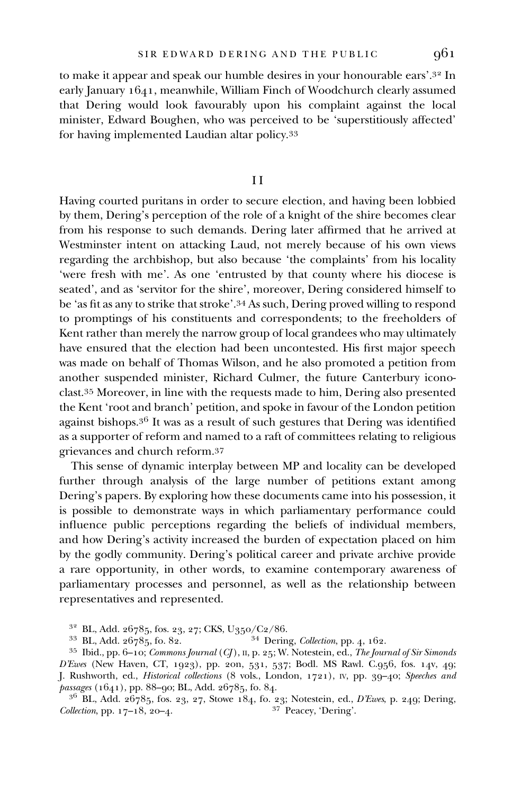to make it appear and speak our humble desires in your honourable ears'.<sup>32</sup> In early January 1641, meanwhile, William Finch of Woodchurch clearly assumed that Dering would look favourably upon his complaint against the local minister, Edward Boughen, who was perceived to be 'superstitiously affected' for having implemented Laudian altar policy.

I I

Having courted puritans in order to secure election, and having been lobbied by them, Dering's perception of the role of a knight of the shire becomes clear from his response to such demands. Dering later affirmed that he arrived at Westminster intent on attacking Laud, not merely because of his own views regarding the archbishop, but also because 'the complaints' from his locality 'were fresh with me'. As one 'entrusted by that county where his diocese is seated', and as 'servitor for the shire', moreover, Dering considered himself to be 'as fit as any to strike that stroke'.<sup>34</sup> As such, Dering proved willing to respond to promptings of his constituents and correspondents; to the freeholders of Kent rather than merely the narrow group of local grandees who may ultimately have ensured that the election had been uncontested. His first major speech was made on behalf of Thomas Wilson, and he also promoted a petition from another suspended minister, Richard Culmer, the future Canterbury iconoclast.<sup>35</sup> Moreover, in line with the requests made to him, Dering also presented the Kent 'root and branch' petition, and spoke in favour of the London petition against bishops.<sup>36</sup> It was as a result of such gestures that Dering was identified as a supporter of reform and named to a raft of committees relating to religious grievances and church reform.

This sense of dynamic interplay between MP and locality can be developed further through analysis of the large number of petitions extant among Dering's papers. By exploring how these documents came into his possession, it is possible to demonstrate ways in which parliamentary performance could influence public perceptions regarding the beliefs of individual members, and how Dering's activity increased the burden of expectation placed on him by the godly community. Dering's political career and private archive provide a rare opportunity, in other words, to examine contemporary awareness of parliamentary processes and personnel, as well as the relationship between representatives and represented.

<sup>32</sup> BL, Add. 26785, fos. 23, 27; CKS, U350/C2/86.<br><sup>33</sup> BL, Add. 26785, fo. 82. <sup>34</sup> Dering, Collection, pp. 4, 162.<br><sup>35</sup> Ibid., pp. 6–10; Commons Journal (CJ), II, p. 25; W. Notestein, ed., *The Journal of Sir Simonds*  $D'Exes$  (New Haven, CT, 1923), pp. 201, 531, 537; Bodl. MS Rawl. C.956, fos. 14v, 49; J. Rushworth, ed., Historical collections (8 vols., London, 1721), IV, pp. 39-40; Speeches and

passages (1641), pp. 88-90; BL, Add. 26785, fo. 84.<br><sup>36</sup> BL, Add. 26785, fos. 23, 27, Stowe 184, fo. 23; Notestein, ed., *D'Ewes*, p. 249; Dering, *Collection*, pp. 17–18, 20–4.<br><sup>37</sup> Peacey, 'Dering'.  $Collection$ , pp.  $17-18$ ,  $20-4$ .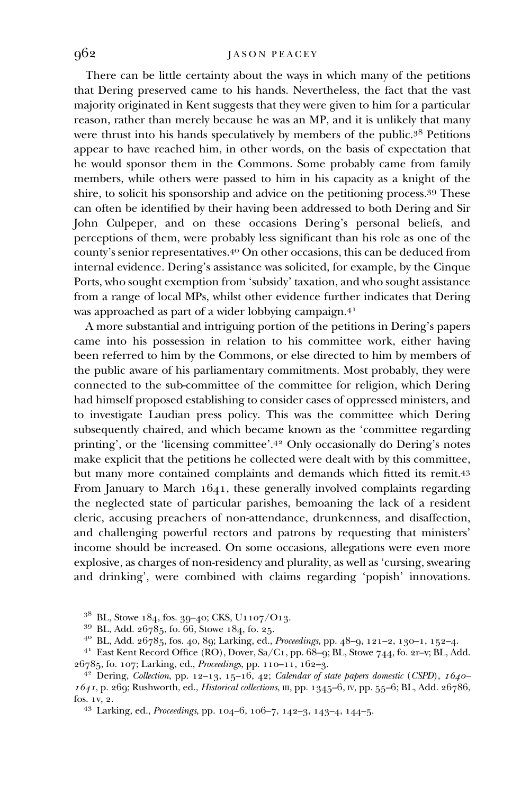There can be little certainty about the ways in which many of the petitions that Dering preserved came to his hands. Nevertheless, the fact that the vast majority originated in Kent suggests that they were given to him for a particular reason, rather than merely because he was an MP, and it is unlikely that many were thrust into his hands speculatively by members of the public. $3<sup>8</sup>$  Petitions appear to have reached him, in other words, on the basis of expectation that he would sponsor them in the Commons. Some probably came from family members, while others were passed to him in his capacity as a knight of the shire, to solicit his sponsorship and advice on the petitioning process.<sup>39</sup> These can often be identified by their having been addressed to both Dering and Sir John Culpeper, and on these occasions Dering's personal beliefs, and perceptions of them, were probably less significant than his role as one of the county's senior representatives. <sup>40</sup> On other occasions, this can be deduced from internal evidence. Dering's assistance was solicited, for example, by the Cinque Ports, who sought exemption from 'subsidy' taxation, and who sought assistance from a range of local MPs, whilst other evidence further indicates that Dering was approached as part of a wider lobbying campaign.

A more substantial and intriguing portion of the petitions in Dering's papers came into his possession in relation to his committee work, either having been referred to him by the Commons, or else directed to him by members of the public aware of his parliamentary commitments. Most probably, they were connected to the sub-committee of the committee for religion, which Dering had himself proposed establishing to consider cases of oppressed ministers, and to investigate Laudian press policy. This was the committee which Dering subsequently chaired, and which became known as the 'committee regarding printing', or the 'licensing committee'.<sup>42</sup> Only occasionally do Dering's notes make explicit that the petitions he collected were dealt with by this committee, but many more contained complaints and demands which fitted its remit.<sup>43</sup> From January to March  $1641$ , these generally involved complaints regarding the neglected state of particular parishes, bemoaning the lack of a resident cleric, accusing preachers of non-attendance, drunkenness, and disaffection, and challenging powerful rectors and patrons by requesting that ministers' income should be increased. On some occasions, allegations were even more explosive, as charges of non-residency and plurality, as well as 'cursing, swearing and drinking', were combined with claims regarding 'popish' innovations.

<sup>&</sup>lt;sup>38</sup> BL, Stowe 184, fos. 39–40; CKS, U1107/O13.<br><sup>39</sup> BL, Add. 26785, fo. 66, Stowe 184, fo. 25.<br><sup>40</sup> BL, Add. 26785, fos. 40, 89; Larking, ed., *Proceedings*, pp. 48–9, 121–2, 130–1, 152–4.<br><sup>41</sup> East Kent Record Office (R  $26785,$  fo. 107; Larking, ed., Proceedings, pp. 110–11, 162–3.<br><sup>42</sup> Dering, Collection, pp. 12–13, 15–16, 42; Calendar of state papers domestic (CSPD), 1640–

 $1641$ , p. 269; Rushworth, ed., Historical collections, III, pp. 1345-6, IV, pp. 55-6; BL, Add. 26786, fos. 1v, 2.<br><sup>43</sup> Larking, ed., *Proceedings*, pp. 104–6, 106–7, 142–3, 143–4, 144–5.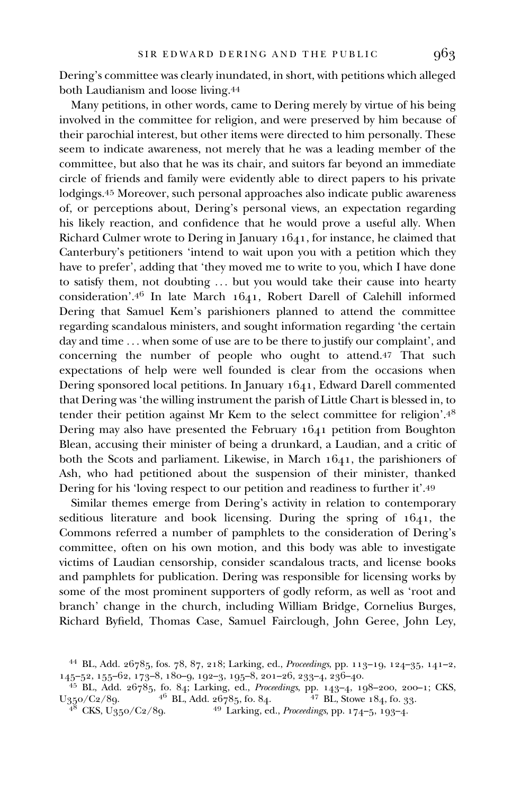Dering's committee was clearly inundated, in short, with petitions which alleged both Laudianism and loose living.

Many petitions, in other words, came to Dering merely by virtue of his being involved in the committee for religion, and were preserved by him because of their parochial interest, but other items were directed to him personally. These seem to indicate awareness, not merely that he was a leading member of the committee, but also that he was its chair, and suitors far beyond an immediate circle of friends and family were evidently able to direct papers to his private lodgings.<sup>45</sup> Moreover, such personal approaches also indicate public awareness of, or perceptions about, Dering's personal views, an expectation regarding his likely reaction, and confidence that he would prove a useful ally. When Richard Culmer wrote to Dering in January , for instance, he claimed that Canterbury's petitioners 'intend to wait upon you with a petition which they have to prefer', adding that 'they moved me to write to you, which I have done to satisfy them, not doubting ... but you would take their cause into hearty consideration'.<sup>46</sup> In late March 1641, Robert Darell of Calehill informed Dering that Samuel Kem's parishioners planned to attend the committee regarding scandalous ministers, and sought information regarding 'the certain day and time ... when some of use are to be there to justify our complaint', and concerning the number of people who ought to attend.<sup>47</sup> That such expectations of help were well founded is clear from the occasions when Dering sponsored local petitions. In January 1641, Edward Darell commented that Dering was 'the willing instrument the parish of Little Chart is blessed in, to tender their petition against Mr Kem to the select committee for religion'.48 Dering may also have presented the February  $1641$  petition from Boughton Blean, accusing their minister of being a drunkard, a Laudian, and a critic of both the Scots and parliament. Likewise, in March 1641, the parishioners of Ash, who had petitioned about the suspension of their minister, thanked Dering for his 'loving respect to our petition and readiness to further it'.49

Similar themes emerge from Dering's activity in relation to contemporary seditious literature and book licensing. During the spring of  $1641$ , the Commons referred a number of pamphlets to the consideration of Dering's committee, often on his own motion, and this body was able to investigate victims of Laudian censorship, consider scandalous tracts, and license books and pamphlets for publication. Dering was responsible for licensing works by some of the most prominent supporters of godly reform, as well as 'root and branch' change in the church, including William Bridge, Cornelius Burges, Richard Byfield, Thomas Case, Samuel Fairclough, John Geree, John Ley,

<sup>&</sup>lt;sup>44</sup> BL, Add. 26785, fos. 78, 87, 218; Larking, ed., *Proceedings*, pp. 113–19, 124–35, 141–2, 145–52, 155–62, 173–8, 180–9, 192–3, 195–8, 201–26, 233–4, 236–40.

<sup>145-52, 155-62, 173-8, 180-9, 192-3, 195-8, 201-26, 233-4, 236-40.&</sup>lt;br><sup>45</sup> BL, Add. 26785, fo. 84; Larking, ed., *Proceedings*, pp. 143-4, 198-200, 200-1; CKS,  $U_{350}/C_{2}/89.$  <sup>46</sup> BL, Add.  $26785,$  fo. 84. <sup>47</sup> BL, Stowe 184, fo. 33. <sup>48</sup> CKS, U<sub>350</sub>/C<sub>2</sub>/89. <sup>49</sup> Larking, ed., *Proceedings*, pp. 174–5, 193–4.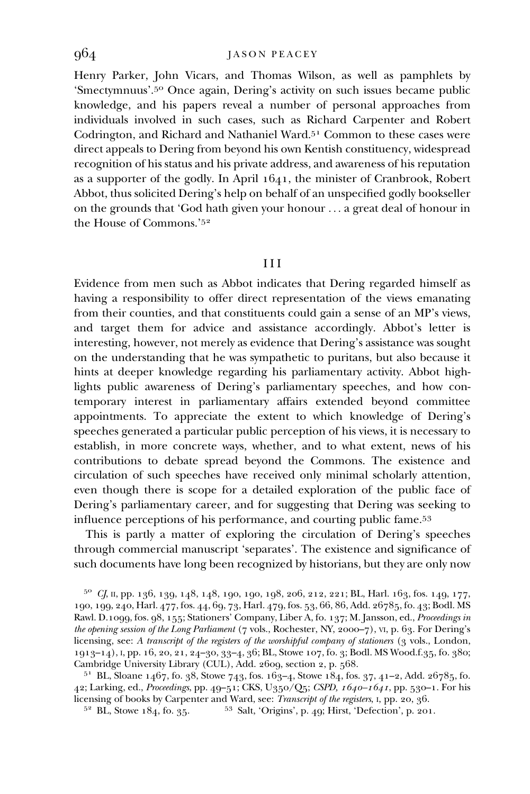Henry Parker, John Vicars, and Thomas Wilson, as well as pamphlets by 'Smectymnuus'.<sup>50</sup> Once again, Dering's activity on such issues became public knowledge, and his papers reveal a number of personal approaches from individuals involved in such cases, such as Richard Carpenter and Robert Codrington, and Richard and Nathaniel Ward.<sup>51</sup> Common to these cases were direct appeals to Dering from beyond his own Kentish constituency, widespread recognition of his status and his private address, and awareness of his reputation as a supporter of the godly. In April  $1641$ , the minister of Cranbrook, Robert Abbot, thus solicited Dering's help on behalf of an unspecified godly bookseller on the grounds that 'God hath given your honour ... a great deal of honour in the House of Commons.'

#### III

Evidence from men such as Abbot indicates that Dering regarded himself as having a responsibility to offer direct representation of the views emanating from their counties, and that constituents could gain a sense of an MP's views, and target them for advice and assistance accordingly. Abbot's letter is interesting, however, not merely as evidence that Dering's assistance was sought on the understanding that he was sympathetic to puritans, but also because it hints at deeper knowledge regarding his parliamentary activity. Abbot highlights public awareness of Dering's parliamentary speeches, and how contemporary interest in parliamentary affairs extended beyond committee appointments. To appreciate the extent to which knowledge of Dering's speeches generated a particular public perception of his views, it is necessary to establish, in more concrete ways, whether, and to what extent, news of his contributions to debate spread beyond the Commons. The existence and circulation of such speeches have received only minimal scholarly attention, even though there is scope for a detailed exploration of the public face of Dering's parliamentary career, and for suggesting that Dering was seeking to influence perceptions of his performance, and courting public fame.

This is partly a matter of exploring the circulation of Dering's speeches through commercial manuscript 'separates'. The existence and significance of such documents have long been recognized by historians, but they are only now

 $^{50}$  CJ, II, pp. 136, 139, 148, 148, 190, 190, 198, 206, 212, 221; BL, Harl. 163, fos. 149, 177, 190, 199, 240, Harl. 477, fos. 44, 69, 73, Harl. 479, fos. 53, 66, 86, Add. 26785, fo. 43; Bodl. MS Rawl. D.1099, fos. 98, 155; Stationers' Company, Liber A, fo. 137; M. Jansson, ed., Proceedings in the opening session of the Long Parliament ( $7$  vols., Rochester, NY, 2000– $7$ ), VI, p. 63. For Dering's licensing, see: A transcript of the registers of the worshipful company of stationers (3 vols., London,  $1913-14$ ), I, pp. 16, 20, 21, 24-30, 33-4, 36; BL, Stowe 107, fo. 3; Bodl. MS Wood.f.35, fo. 380; Cambridge University Library (CUL), Add. 2609, section 2, p. 568.

<sup>51</sup> BL, Sloane 1467, fo. 38, Stowe 743, fos. 163–4, Stowe 184, fos. 37, 41–2, Add. 26785, fo. 42; Larking, ed., Proceedings, pp. 49-51; CKS, U350/Q5; CSPD, 1640-1641, pp. 530-1. For his licensing of books by Carpenter and Ward, see: *Transcript of the registers*, I, pp. 20, 36.<br><sup>52</sup> BL, Stowe 184, fo. 35. <sup>53</sup> Salt, 'Origins', p. 49; Hirst, 'Defection', p. 201.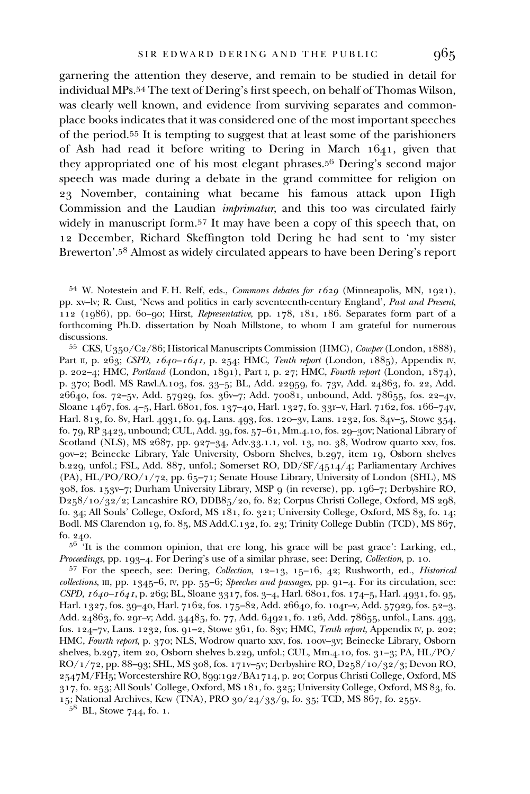garnering the attention they deserve, and remain to be studied in detail for individual MPs.<sup>54</sup> The text of Dering's first speech, on behalf of Thomas Wilson, was clearly well known, and evidence from surviving separates and commonplace books indicates that it was considered one of the most important speeches of the period. It is tempting to suggest that at least some of the parishioners of Ash had read it before writing to Dering in March  $1641$ , given that they appropriated one of his most elegant phrases.<sup>56</sup> Dering's second major speech was made during a debate in the grand committee for religion on November, containing what became his famous attack upon High Commission and the Laudian imprimatur, and this too was circulated fairly widely in manuscript form.<sup>57</sup> It may have been a copy of this speech that, on 12 December, Richard Skeffington told Dering he had sent to 'my sister Brewerton'.<sup>58</sup> Almost as widely circulated appears to have been Dering's report

 $^{54}$  W. Notestein and F. H. Relf, eds., *Commons debates for*  $1629$  *(Minneapolis, MN, 1921)*, pp. xv–lv; R. Cust, 'News and politics in early seventeenth-century England', Past and Present, 112 (1986), pp. 60-90; Hirst, Representative, pp. 178, 181, 186. Separates form part of a forthcoming Ph.D. dissertation by Noah Millstone, to whom I am grateful for numerous

discussions.<br><sup>55</sup> CKS, U350/C2/86; Historical Manuscripts Commission (HMC), Cowper (London, 1888), Part II, p. 263; CSPD,  $1640 - 1641$ , p. 254; HMC, Tenth report (London, 1885), Appendix IV, p. 202-4; HMC, Portland (London, 1891), Part I, p. 27; HMC, Fourth report (London, 1874), p. 370; Bodl. MS Rawl.A.103, fos. 33-5; BL, Add. 22959, fo. 73v, Add. 24863, fo. 22, Add.  $26640,$  fos.  $72-5y$ , Add.  $57929,$  fos.  $36v-7$ ; Add.  $70081$ , unbound, Add.  $78655,$  fos.  $22-4y$ , Sloane 1467, fos. 4-5, Harl. 6801, fos. 137-40, Harl. 1327, fo. 33r–v, Harl. 7162, fos. 166-74v, Harl. 813, fo. 8v, Harl. 4931, fo. 94, Lans. 493, fos. 120–3v, Lans. 1232, fos. 84v–5, Stowe 354, fo. 79, RP 3423, unbound; CUL, Add. 39, fos.  $57-61$ , Mm.4.10, fos. 29-30v; National Library of Scotland (NLS), MS 2687, pp. 927-34, Adv.33.1.1, vol. 13, no. 38, Wodrow quarto xxv, fos. qov-2; Beinecke Library, Yale University, Osborn Shelves, b.297, item 19, Osborn shelves b.229, unfol.; FSL, Add.  $887$ , unfol.; Somerset RO,  $DD/SF/4514/4$ ; Parliamentary Archives  $(PA)$ , HL/PO/RO/ $1/72$ , pp. 65-71; Senate House Library, University of London (SHL), MS  $308$ , fos. 153y–7; Durham University Library, MSP  $\alpha$  (in reverse), pp. 1 $60$ –7; Derbyshire RO,  $D258/10/32/2$ ; Lancashire RO, DDB85/20, fo. 82; Corpus Christi College, Oxford, MS 298, fo.  $34$ ; All Souls' College, Oxford, MS  $181$ , fo.  $321$ ; University College, Oxford, MS  $83$ , fo.  $14$ ; Bodl. MS Clarendon 19, fo. 85, MS Add.C.132, fo. 23; Trinity College Dublin (TCD), MS  $867$ ,

fo. 240.<br><sup>56</sup> 'It is the common opinion, that ere long, his grace will be past grace': Larking, ed.,<br>*Proceedings*, pp. 193–4. For Dering's use of a similar phrase, see: Dering, *Collection*, p. 10.

 $^{57}$  For the speech, see: Dering, *Collection*, 12–13, 15–16, 42; Rushworth, ed., *Historical*  $\emph{collections}, \emph{III}, \emph{pp}.$   $1345-6, \emph{IV}, \emph{pp}.$   $55-6;$  Speeches and passages, pp.  $91-4.$  For its circulation, see:  $CSPD$ ,  $1640-1641$ , p. 269; BL, Sloane 3317, fos. 3-4, Harl. 6801, fos. 174-5, Harl. 4931, fo. 95, Harl. 1327, fos. 39-40, Harl. 7162, fos. 175-82, Add. 26640, fo. 104r-v, Add. 57929, fos. 52-3, Add. 24863, fo. 29r-v; Add. 34485, fo. 77, Add. 64921, fo. 126, Add. 78655, unfol., Lans. 493, fos. 124-7v, Lans. 1232, fos. 91-2, Stowe 361, fo. 83v; HMC, Tenth report, Appendix IV, p. 202; HMC, Fourth report, p. 370; NLS, Wodrow quarto xxv, fos. 100v–3v; Beinecke Library, Osborn shelves, b.297, item 20, Osborn shelves b.229, unfol.; CUL, Mm.4.10, fos. 31-3; PA, HL/PO/  $RO/1/72$ , pp.  $88-93$ ; SHL, MS 308, fos.  $171v-5v$ ; Derbyshire RO,  $D25/10/32/3$ ; Devon RO, 2547M/FH5; Worcestershire RO, 899:192/BA1714, p. 20; Corpus Christi College, Oxford, MS 317, fo. 253; All Souls' College, Oxford, MS 181, fo. 325; University College, Oxford, MS 83, fo. 15; National Archives, Kew (TNA), PRO  $30/24/33/9,$  fo. 35; TCD, MS  $867,$  fo. 255v.  $^{58}\,$  BL, Stowe 744, fo. 1.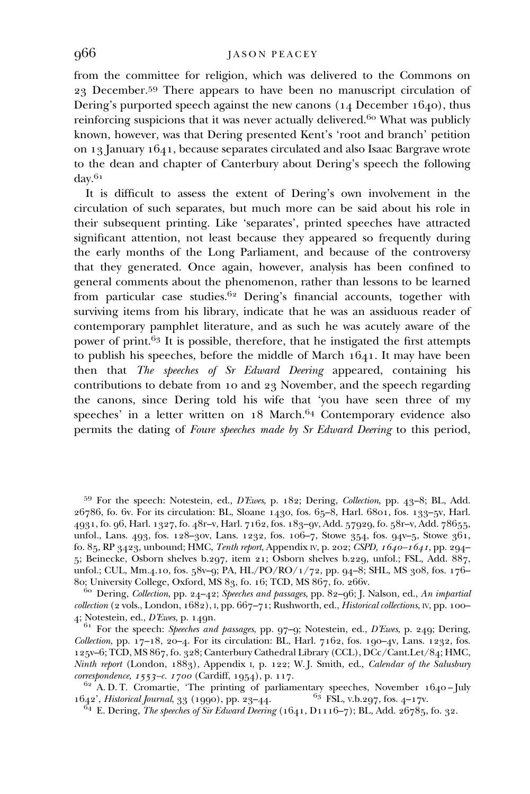### q66 MASON PEACEY

from the committee for religion, which was delivered to the Commons on 23 December.<sup>59</sup> There appears to have been no manuscript circulation of Dering's purported speech against the new canons  $(14$  December  $1640)$ , thus reinforcing suspicions that it was never actually delivered.<sup>60</sup> What was publicly known, however, was that Dering presented Kent's 'root and branch' petition on 13 January 1641, because separates circulated and also Isaac Bargrave wrote to the dean and chapter of Canterbury about Dering's speech the following  $\rm{dav}^{61}$ 

It is difficult to assess the extent of Dering's own involvement in the circulation of such separates, but much more can be said about his role in their subsequent printing. Like 'separates', printed speeches have attracted significant attention, not least because they appeared so frequently during the early months of the Long Parliament, and because of the controversy that they generated. Once again, however, analysis has been confined to general comments about the phenomenon, rather than lessons to be learned from particular case studies.<sup>62</sup> Dering's financial accounts, together with surviving items from his library, indicate that he was an assiduous reader of contemporary pamphlet literature, and as such he was acutely aware of the power of print.  $63$  It is possible, therefore, that he instigated the first attempts to publish his speeches, before the middle of March  $1641$ . It may have been then that The speeches of Sr Edward Deering appeared, containing his contributions to debate from 10 and 23 November, and the speech regarding the canons, since Dering told his wife that 'you have seen three of my speeches' in a letter written on 18 March.<sup>64</sup> Contemporary evidence also permits the dating of Foure speeches made by Sr Edward Deering to this period,

 $59$  For the speech: Notestein, ed., D'Ewes, p. 182; Dering, Collection, pp. 43-8; BL, Add.  $26786$ , fo. 6v. For its circulation: BL, Sloane  $1430$ , fos.  $65-8$ , Harl. 6801, fos.  $133-5v$ , Harl.  $4931,$  fo. 96, Harl. 1327, fo. 48r–v, Harl. 7162, fos. 183–9v, Add. 57929, fo. 58r–v, Add. 78655, unfol., Lans.  $493$ , fos.  $128-3$ ov, Lans.  $1232$ , fos.  $106-7$ , Stowe  $354$ , fos.  $94v-5$ , Stowe  $361$ , fo. 85, RP 3423, unbound; HMC, Tenth report, Appendix IV, p. 202; CSPD,  $1640-1641$ , pp. 294–  $5$ ; Beinecke, Osborn shelves b.297, item 21; Osborn shelves b.229, unfol.; FSL, Add.  $887$ , unfol.; CUL, Mm.4.10, fos. 58v–9; PA, HL/PO/RO/ $1/72$ , pp. 94–8; SHL, MS 308, fos. 176– 80; University College, Oxford, MS 83, fo. 16; TCD, MS 867, fo. 266v.<br><sup>60</sup> Dering, *Collection*, pp. 24–42; *Speeches and passages*, pp. 82–96; J. Nalson, ed., An impartial

 $collection$  ( $2$  vols., London,  $1682$ ), I, pp.  $667-71$ ; Rushworth, ed., *Historical collections*, IV, pp.  $100-$ 4; Notestein, ed., *D'Ewes*, p. 149n.<br>
<sup>61</sup> For the speech: Speeches and passages, pp. 97-9; Notestein, ed., *D'Ewes*, p. 249; Dering,

Collection, pp.  $17-18$ ,  $20-4$ . For its circulation: BL, Harl. 7162, fos. 190-4v, Lans. 1232, fos. 125v–6; TCD, MS 867, fo. 328; Canterbury Cathedral Library (CCL), DCc/Cant.Let/84; HMC, Ninth report (London, 1883), Appendix I, p. 122; W.J. Smith, ed., Calendar of the Salusbury correspondence, 1553–c. 1700 (Cardiff, 1954), p. 117.<br><sup>62</sup> A. D. T. Cromartie, 'The printing of parliamentary speeches, November 1640–July

 $^{16}4^2$ , Historical Journal, 33 (1990), pp. 23–44. <sup>63</sup> FSL, v.b.297, fos. 4–17v.<br><sup>64</sup> E. Dering, *The speeches of Sir Edward Deering* (1641, D1116–7); BL, Add. 26785, fo. 32.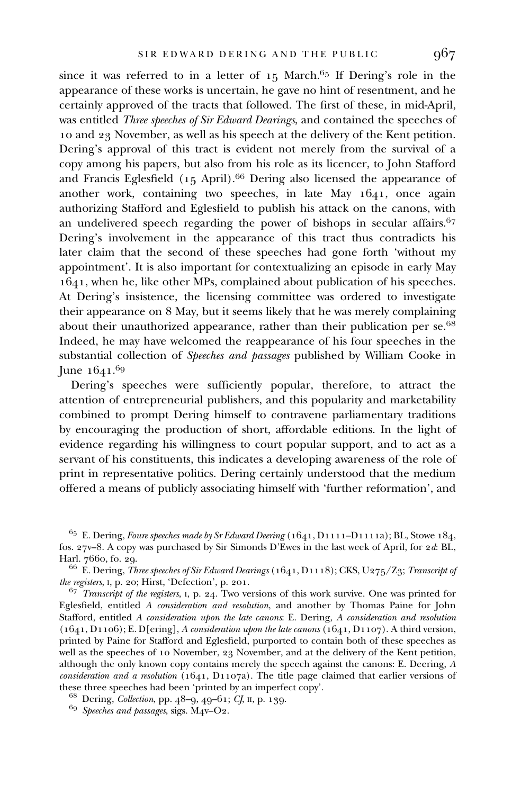since it was referred to in a letter of  $15$  March.<sup>65</sup> If Dering's role in the appearance of these works is uncertain, he gave no hint of resentment, and he certainly approved of the tracts that followed. The first of these, in mid-April, was entitled *Three speeches of Sir Edward Dearings*, and contained the speeches of 10 and 23 November, as well as his speech at the delivery of the Kent petition. Dering's approval of this tract is evident not merely from the survival of a copy among his papers, but also from his role as its licencer, to John Stafford and Francis Eglesfield (15 April).<sup>66</sup> Dering also licensed the appearance of another work, containing two speeches, in late May  $1641$ , once again authorizing Stafford and Eglesfield to publish his attack on the canons, with an undelivered speech regarding the power of bishops in secular affairs.<sup>67</sup> Dering's involvement in the appearance of this tract thus contradicts his later claim that the second of these speeches had gone forth 'without my appointment'. It is also important for contextualizing an episode in early May , when he, like other MPs, complained about publication of his speeches. At Dering's insistence, the licensing committee was ordered to investigate their appearance on 8 May, but it seems likely that he was merely complaining about their unauthorized appearance, rather than their publication per se.<sup>68</sup> Indeed, he may have welcomed the reappearance of his four speeches in the substantial collection of Speeches and passages published by William Cooke in June 1641.<sup>69</sup>

Dering's speeches were sufficiently popular, therefore, to attract the attention of entrepreneurial publishers, and this popularity and marketability combined to prompt Dering himself to contravene parliamentary traditions by encouraging the production of short, affordable editions. In the light of evidence regarding his willingness to court popular support, and to act as a servant of his constituents, this indicates a developing awareness of the role of print in representative politics. Dering certainly understood that the medium offered a means of publicly associating himself with 'further reformation', and

 $65$  E. Dering, Foure speeches made by Sr Edward Deering (1641, D1111-D1111a); BL, Stowe 184, fos. 27v–8. A copy was purchased by Sir Simonds D'Ewes in the last week of April, for 2d: BL, Harl. 766o, fo. 29.

<sup>66</sup> E. Dering, *Three speeches of Sir Edward Dearings* ( $1641, D1118$ ); CKS, U275/Z3; *Transcript of the registers*, I, p. 20; Hirst, 'Defection', p. 201.

 $\frac{67}{7}$  Transcript of the registers, I, p. 24. Two versions of this work survive. One was printed for Eglesfield, entitled A consideration and resolution, and another by Thomas Paine for John Stafford, entitled A consideration upon the late canons: E. Dering, A consideration and resolution  $(1641, D1106)$ ; E. D[ering], A consideration upon the late canons  $(1641, D1107)$ . A third version, printed by Paine for Stafford and Eglesfield, purported to contain both of these speeches as well as the speeches of 10 November, 23 November, and at the delivery of the Kent petition, although the only known copy contains merely the speech against the canons: E. Deering, A consideration and a resolution  $(1641, D1107a)$ . The title page claimed that earlier versions of these three speeches had been 'printed by an imperfect copy'.<br>  $^{68}$  Dering, Collection, pp. 48–9, 49–61; CJ, II, p. 139.<br>  $^{69}$  Speeches and passages, sigs. M4v–O2.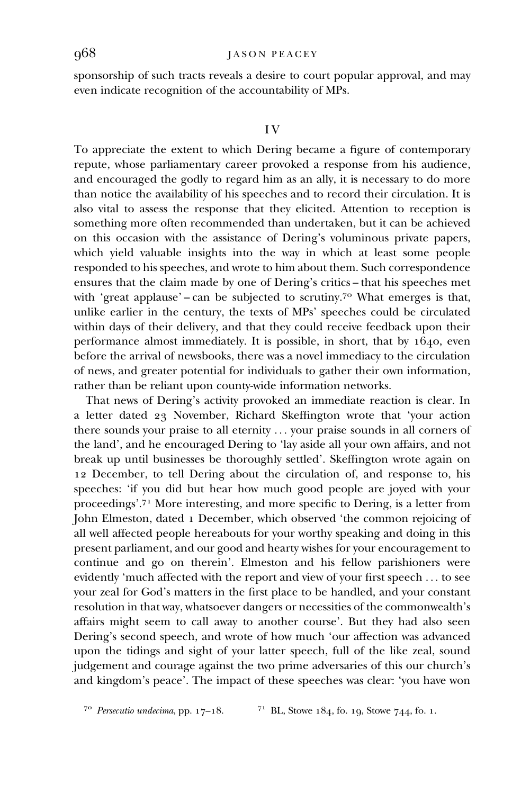sponsorship of such tracts reveals a desire to court popular approval, and may even indicate recognition of the accountability of MPs.

#### I V

To appreciate the extent to which Dering became a figure of contemporary repute, whose parliamentary career provoked a response from his audience, and encouraged the godly to regard him as an ally, it is necessary to do more than notice the availability of his speeches and to record their circulation. It is also vital to assess the response that they elicited. Attention to reception is something more often recommended than undertaken, but it can be achieved on this occasion with the assistance of Dering's voluminous private papers, which yield valuable insights into the way in which at least some people responded to his speeches, and wrote to him about them. Such correspondence ensures that the claim made by one of Dering's critics – that his speeches met with 'great applause' – can be subjected to scrutiny.<sup>70</sup> What emerges is that, unlike earlier in the century, the texts of MPs' speeches could be circulated within days of their delivery, and that they could receive feedback upon their performance almost immediately. It is possible, in short, that by  $1640$ , even before the arrival of newsbooks, there was a novel immediacy to the circulation of news, and greater potential for individuals to gather their own information, rather than be reliant upon county-wide information networks.

That news of Dering's activity provoked an immediate reaction is clear. In a letter dated 23 November, Richard Skeffington wrote that 'your action there sounds your praise to all eternity ... your praise sounds in all corners of the land', and he encouraged Dering to 'lay aside all your own affairs, and not break up until businesses be thoroughly settled'. Skeffington wrote again on 12 December, to tell Dering about the circulation of, and response to, his speeches: 'if you did but hear how much good people are joyed with your proceedings'.<sup>71</sup> More interesting, and more specific to Dering, is a letter from John Elmeston, dated 1 December, which observed 'the common rejoicing of all well affected people hereabouts for your worthy speaking and doing in this present parliament, and our good and hearty wishes for your encouragement to continue and go on therein'. Elmeston and his fellow parishioners were evidently 'much affected with the report and view of your first speech ... to see your zeal for God's matters in the first place to be handled, and your constant resolution in that way, whatsoever dangers or necessities of the commonwealth's affairs might seem to call away to another course'. But they had also seen Dering's second speech, and wrote of how much 'our affection was advanced upon the tidings and sight of your latter speech, full of the like zeal, sound judgement and courage against the two prime adversaries of this our church's and kingdom's peace'. The impact of these speeches was clear: 'you have won

<sup>&</sup>lt;sup>70</sup> Persecutio undecima, pp. 17-18. <sup>71</sup> BL, Stowe 184, fo. 19, Stowe 744, fo. 1.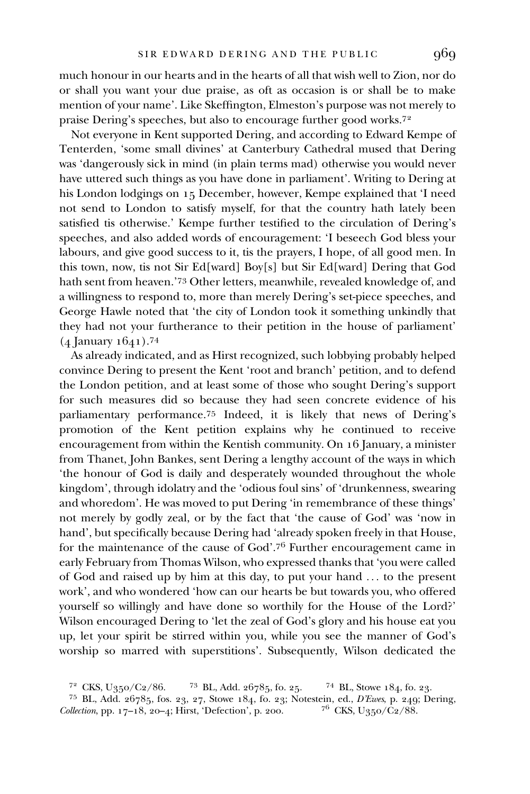much honour in our hearts and in the hearts of all that wish well to Zion, nor do or shall you want your due praise, as oft as occasion is or shall be to make mention of your name'. Like Skeffington, Elmeston's purpose was not merely to praise Dering's speeches, but also to encourage further good works.

Not everyone in Kent supported Dering, and according to Edward Kempe of Tenterden, 'some small divines' at Canterbury Cathedral mused that Dering was 'dangerously sick in mind (in plain terms mad) otherwise you would never have uttered such things as you have done in parliament'. Writing to Dering at his London lodgings on 15 December, however, Kempe explained that 'I need not send to London to satisfy myself, for that the country hath lately been satisfied tis otherwise.' Kempe further testified to the circulation of Dering's speeches, and also added words of encouragement: 'I beseech God bless your labours, and give good success to it, tis the prayers, I hope, of all good men. In this town, now, tis not Sir Ed[ward] Boy[s] but Sir Ed[ward] Dering that God hath sent from heaven.'73 Other letters, meanwhile, revealed knowledge of, and a willingness to respond to, more than merely Dering's set-piece speeches, and George Hawle noted that 'the city of London took it something unkindly that they had not your furtherance to their petition in the house of parliament'  $(4$  January  $1641)$ .74

As already indicated, and as Hirst recognized, such lobbying probably helped convince Dering to present the Kent 'root and branch' petition, and to defend the London petition, and at least some of those who sought Dering's support for such measures did so because they had seen concrete evidence of his parliamentary performance.<sup>75</sup> Indeed, it is likely that news of Dering's promotion of the Kent petition explains why he continued to receive encouragement from within the Kentish community. On 16 January, a minister from Thanet, John Bankes, sent Dering a lengthy account of the ways in which 'the honour of God is daily and desperately wounded throughout the whole kingdom', through idolatry and the 'odious foul sins' of 'drunkenness, swearing and whoredom'. He was moved to put Dering 'in remembrance of these things' not merely by godly zeal, or by the fact that 'the cause of God' was 'now in hand', but specifically because Dering had 'already spoken freely in that House, for the maintenance of the cause of God'.7<sup>6</sup> Further encouragement came in early February from Thomas Wilson, who expressed thanks that 'you were called of God and raised up by him at this day, to put your hand ... to the present work', and who wondered 'how can our hearts be but towards you, who offered yourself so willingly and have done so worthily for the House of the Lord?' Wilson encouraged Dering to 'let the zeal of God's glory and his house eat you up, let your spirit be stirred within you, while you see the manner of God's worship so marred with superstitions'. Subsequently, Wilson dedicated the

<sup>&</sup>lt;sup>72</sup> CKS, U<sub>3</sub>50/C<sub>2</sub>/86. <sup>73</sup> BL, Add. 26785, fo. 25. <sup>74</sup> BL, Stowe 184, fo. 23.<br><sup>75</sup> BL, Add. 26785, fos. 23, 27, Stowe 184, fo. 23; Notestein, ed., *D'Ewes*, p. 249; Dering, *ollection*, pp. 17–18, 20–4; Hirst, 'Defec  $Collection$ , pp.  $17-18$ ,  $20-4$ ; Hirst, 'Defection', p. 200.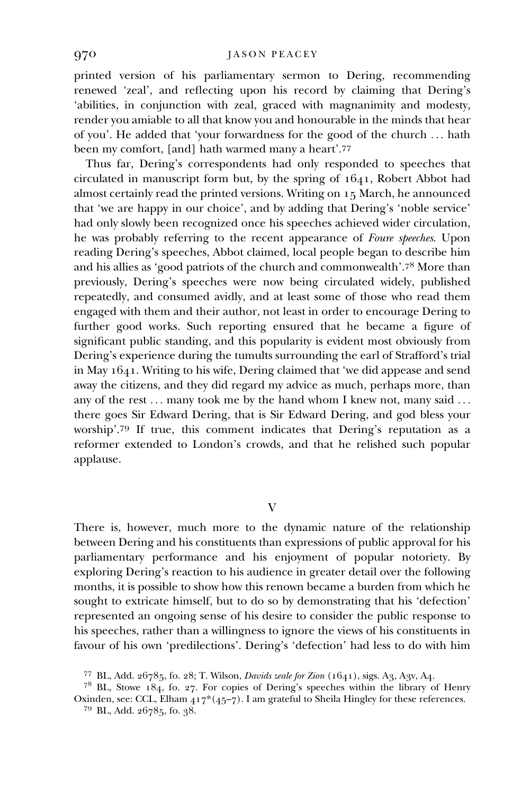printed version of his parliamentary sermon to Dering, recommending renewed 'zeal', and reflecting upon his record by claiming that Dering's 'abilities, in conjunction with zeal, graced with magnanimity and modesty, render you amiable to all that know you and honourable in the minds that hear of you'. He added that 'your forwardness for the good of the church ... hath been my comfort, [and] hath warmed many a heart'.77

Thus far, Dering's correspondents had only responded to speeches that circulated in manuscript form but, by the spring of  $1641$ , Robert Abbot had almost certainly read the printed versions. Writing on  $15$  March, he announced that 'we are happy in our choice', and by adding that Dering's 'noble service' had only slowly been recognized once his speeches achieved wider circulation, he was probably referring to the recent appearance of *Foure speeches*. Upon reading Dering's speeches, Abbot claimed, local people began to describe him and his allies as 'good patriots of the church and commonwealth'.<sup>78</sup> More than previously, Dering's speeches were now being circulated widely, published repeatedly, and consumed avidly, and at least some of those who read them engaged with them and their author, not least in order to encourage Dering to further good works. Such reporting ensured that he became a figure of significant public standing, and this popularity is evident most obviously from Dering's experience during the tumults surrounding the earl of Strafford's trial in May  $1641$ . Writing to his wife, Dering claimed that 'we did appease and send away the citizens, and they did regard my advice as much, perhaps more, than any of the rest ... many took me by the hand whom I knew not, many said ... there goes Sir Edward Dering, that is Sir Edward Dering, and god bless your worship'. If true, this comment indicates that Dering's reputation as a reformer extended to London's crowds, and that he relished such popular applause.

V

There is, however, much more to the dynamic nature of the relationship between Dering and his constituents than expressions of public approval for his parliamentary performance and his enjoyment of popular notoriety. By exploring Dering's reaction to his audience in greater detail over the following months, it is possible to show how this renown became a burden from which he sought to extricate himself, but to do so by demonstrating that his 'defection' represented an ongoing sense of his desire to consider the public response to his speeches, rather than a willingness to ignore the views of his constituents in favour of his own 'predilections'. Dering's 'defection' had less to do with him

<sup>&</sup>lt;sup>77</sup> BL, Add.  $26785$ , fo. 28; T. Wilson, *Davids zeale for Zion* (1641), sigs. A<sub>3</sub>, A<sub>3</sub>v, A<sub>4</sub>. <sup>78</sup> BL, Stowe 184, fo. 27. For copies of Dering's speeches within the library of Henry Oxinden, see: CCL, Elham  $417*(45-7)$ . I am grateful to Sheila Hingley for these references. <sup>79</sup> BL, Add.  $26785$ , fo. 38.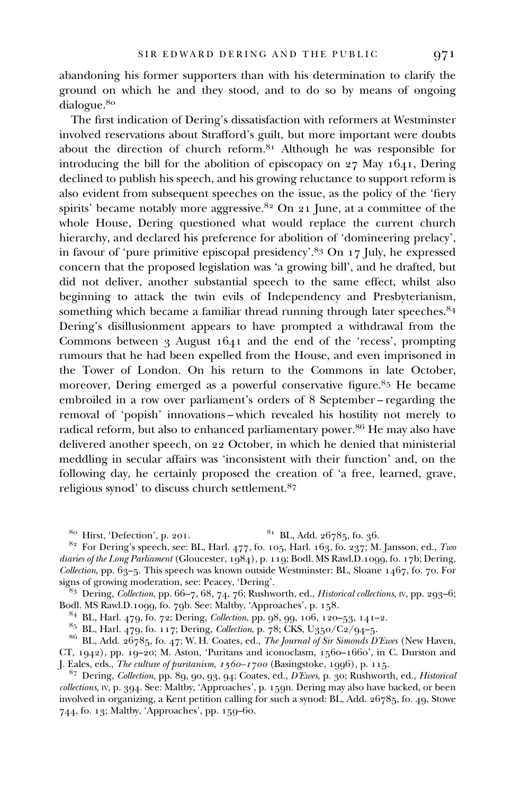abandoning his former supporters than with his determination to clarify the ground on which he and they stood, and to do so by means of ongoing dialogue.

The first indication of Dering's dissatisfaction with reformers at Westminster involved reservations about Strafford's guilt, but more important were doubts about the direction of church reform.<sup>81</sup> Although he was responsible for introducing the bill for the abolition of episcopacy on  $27$  May  $1641$ , Dering declined to publish his speech, and his growing reluctance to support reform is also evident from subsequent speeches on the issue, as the policy of the 'fiery spirits' became notably more aggressive. <sup>82</sup> On 21 June, at a committee of the whole House, Dering questioned what would replace the current church hierarchy, and declared his preference for abolition of 'domineering prelacy', in favour of 'pure primitive episcopal presidency'.<sup>83</sup> On 17 July, he expressed concern that the proposed legislation was 'a growing bill', and he drafted, but did not deliver, another substantial speech to the same effect, whilst also beginning to attack the twin evils of Independency and Presbyterianism, something which became a familiar thread running through later speeches.<sup>84</sup> Dering's disillusionment appears to have prompted a withdrawal from the Commons between  $\frac{1}{3}$  August 1641 and the end of the 'recess', prompting rumours that he had been expelled from the House, and even imprisoned in the Tower of London. On his return to the Commons in late October, moreover, Dering emerged as a powerful conservative figure.<sup>85</sup> He became embroiled in a row over parliament's orders of 8 September – regarding the removal of 'popish' innovations – which revealed his hostility not merely to radical reform, but also to enhanced parliamentary power.<sup>86</sup> He may also have delivered another speech, on 22 October, in which he denied that ministerial meddling in secular affairs was 'inconsistent with their function' and, on the following day, he certainly proposed the creation of 'a free, learned, grave, religious synod' to discuss church settlement.

 Hirst, 'Defection', p. . BL, Add. , fo. . For Dering's speech, see: BL, Harl. , fo. , Harl. , fo. ; M. Jansson, ed., Two diaries of the Long Parliament (Gloucester, 1984), p. 119; Bodl. MS Rawl.D.1099, fo. 17b; Dering, *Collection*, pp.  $63-5$ . This speech was known outside Westminster: BL, Sloane  $1467$ , fo.  $70$ . For

signs of growing moderation, see: Peacey, 'Dering'.<br><sup>83</sup> Dering, *Collection*, pp. 66–7, 68, 74, 76; Rushworth, ed., *Historical collections*, IV, pp. 293–6; Bodl. MS Rawl.D.1099, fo. 79b. See: Maltby, 'Approaches', p. 15

<sup>84</sup> BL, Harl. 479, fo. 72; Dering, *Collection*, pp. 98, 99, 106, 120–53, 141–2.<br><sup>85</sup> BL, Harl. 479, fo. 117; Dering, *Collection*, p. 78; CKS, U350/C2/94–5.<br><sup>86</sup> BL, Add. 26785, fo. 47; W. H. Coates, ed., *The Journal o* CT,  $1942$ ), pp.  $19-20$ ; M. Aston, 'Puritans and iconoclasm,  $1560-1660$ ', in C. Durston and

J. Eales, eds., *The culture of puritanism, 1560–1700* (Basingstoke, 1996), p. 115.<br><sup>87</sup> Dering, *Collection*, pp. 89, 90, 93, 94; Coates, ed., *D'Ewes*, p. 30; Rushworth, ed., *Historical* collections, IV, p. 394. See: Maltby, 'Approaches', p. 159n. Dering may also have backed, or been involved in organizing, a Kent petition calling for such a synod: BL, Add.  $26785$ , fo. 49, Stowe 744, fo. 13; Maltby, 'Approaches', pp. 159-60.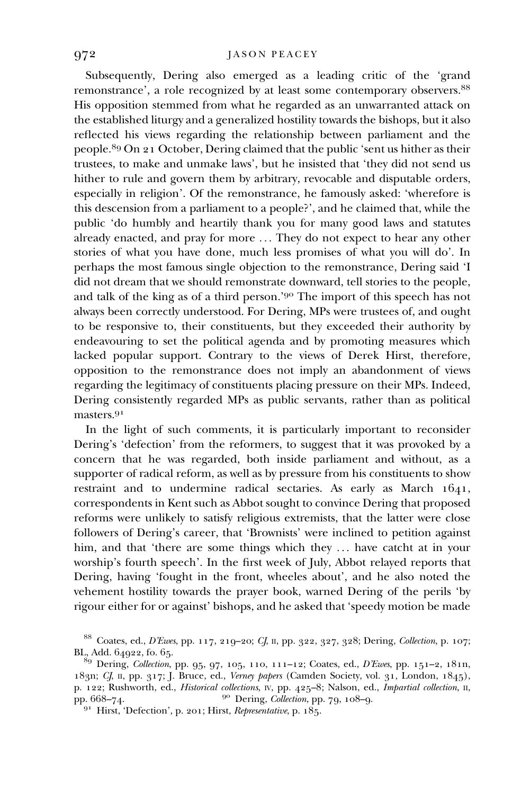Subsequently, Dering also emerged as a leading critic of the 'grand remonstrance', a role recognized by at least some contemporary observers.<sup>88</sup> His opposition stemmed from what he regarded as an unwarranted attack on the established liturgy and a generalized hostility towards the bishops, but it also reflected his views regarding the relationship between parliament and the people.<sup>89</sup> On 21 October, Dering claimed that the public 'sent us hither as their trustees, to make and unmake laws', but he insisted that 'they did not send us hither to rule and govern them by arbitrary, revocable and disputable orders, especially in religion'. Of the remonstrance, he famously asked: 'wherefore is this descension from a parliament to a people?', and he claimed that, while the public 'do humbly and heartily thank you for many good laws and statutes already enacted, and pray for more ... They do not expect to hear any other stories of what you have done, much less promises of what you will do'. In perhaps the most famous single objection to the remonstrance, Dering said 'I did not dream that we should remonstrate downward, tell stories to the people, and talk of the king as of a third person.'<sup>90</sup> The import of this speech has not always been correctly understood. For Dering, MPs were trustees of, and ought to be responsive to, their constituents, but they exceeded their authority by endeavouring to set the political agenda and by promoting measures which lacked popular support. Contrary to the views of Derek Hirst, therefore, opposition to the remonstrance does not imply an abandonment of views regarding the legitimacy of constituents placing pressure on their MPs. Indeed, Dering consistently regarded MPs as public servants, rather than as political masters.<sup>91</sup>

In the light of such comments, it is particularly important to reconsider Dering's 'defection' from the reformers, to suggest that it was provoked by a concern that he was regarded, both inside parliament and without, as a supporter of radical reform, as well as by pressure from his constituents to show restraint and to undermine radical sectaries. As early as March  $1641$ , correspondents in Kent such as Abbot sought to convince Dering that proposed reforms were unlikely to satisfy religious extremists, that the latter were close followers of Dering's career, that 'Brownists' were inclined to petition against him, and that 'there are some things which they ... have catcht at in your worship's fourth speech'. In the first week of July, Abbot relayed reports that Dering, having 'fought in the front, wheeles about', and he also noted the vehement hostility towards the prayer book, warned Dering of the perils 'by rigour either for or against' bishops, and he asked that 'speedy motion be made

<sup>&</sup>lt;sup>88</sup> Coates, ed., D'Ewes, pp. 117, 219-20; CJ, II, pp. 322, 327, 328; Dering, Collection, p. 107; BL, Add. 64922, fo. 65.<br><sup>89</sup> Dering, *Collection*, pp. 95, 97, 105, 110, 111-12; Coates, ed., *D'Ewes*, pp. 151-2, 181n,

<sup>183</sup>n; CJ, II, pp. 317; J. Bruce, ed., Verney papers (Camden Society, vol. 31, London,  $1845$ ), p. 122; Rushworth, ed., *Historical collections*, IV, pp. 425–8; Nalson, ed., *Impartial collection*, II, pp. 668–74.

 $91$  Hirst, 'Defection', p. 201; Hirst, Representative, p. 185.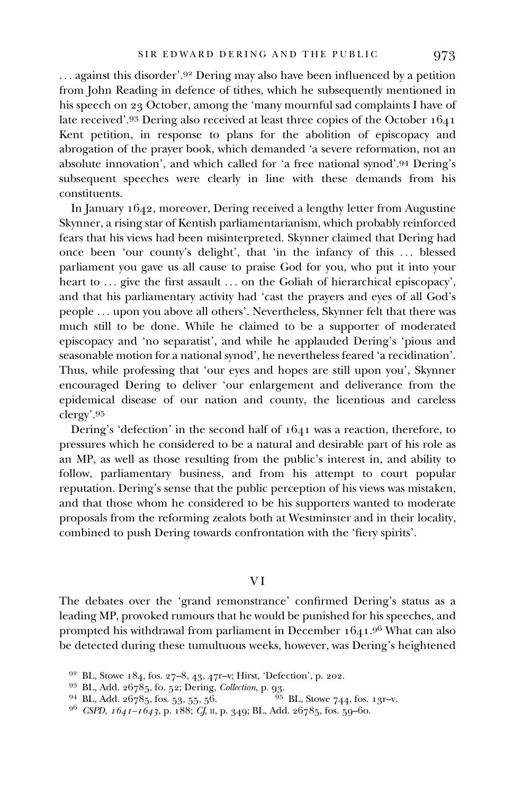... against this disorder'.<sup>92</sup> Dering may also have been influenced by a petition from John Reading in defence of tithes, which he subsequently mentioned in his speech on 23 October, among the 'many mournful sad complaints I have of late received'.<sup>93</sup> Dering also received at least three copies of the October 1641 Kent petition, in response to plans for the abolition of episcopacy and abrogation of the prayer book, which demanded 'a severe reformation, not an absolute innovation', and which called for 'a free national synod'.<sup>94</sup> Dering's subsequent speeches were clearly in line with these demands from his constituents.

In January 1642, moreover, Dering received a lengthy letter from Augustine Skynner, a rising star of Kentish parliamentarianism, which probably reinforced fears that his views had been misinterpreted. Skynner claimed that Dering had once been 'our county's delight', that 'in the infancy of this ... blessed parliament you gave us all cause to praise God for you, who put it into your heart to ... give the first assault ... on the Goliah of hierarchical episcopacy', and that his parliamentary activity had 'cast the prayers and eyes of all God's people ... upon you above all others'. Nevertheless, Skynner felt that there was much still to be done. While he claimed to be a supporter of moderated episcopacy and 'no separatist', and while he applauded Dering's 'pious and seasonable motion for a national synod', he nevertheless feared 'a recidination'. Thus, while professing that 'our eyes and hopes are still upon you', Skynner encouraged Dering to deliver 'our enlargement and deliverance from the epidemical disease of our nation and county, the licentious and careless clergy'.

Dering's 'defection' in the second half of  $1641$  was a reaction, therefore, to pressures which he considered to be a natural and desirable part of his role as an MP, as well as those resulting from the public's interest in, and ability to follow, parliamentary business, and from his attempt to court popular reputation. Dering's sense that the public perception of his views was mistaken, and that those whom he considered to be his supporters wanted to moderate proposals from the reforming zealots both at Westminster and in their locality, combined to push Dering towards confrontation with the 'fiery spirits'.

## V I

The debates over the 'grand remonstrance' confirmed Dering's status as a leading MP, provoked rumours that he would be punished for his speeches, and prompted his withdrawal from parliament in December  $1641.9^6$  What can also be detected during these tumultuous weeks, however, was Dering's heightened

<sup>&</sup>lt;sup>92</sup> BL, Stowe 184, fos. 27–8, 43, 471–v; Hirst, 'Defection', p. 202.<br><sup>93</sup> BL, Add. 26785, fo. 52; Dering, *Collection*, p. 93.<br><sup>94</sup> BL, Add. 26785, fos. 53, 55, 56.<br><sup>95</sup> BL, Stowe 744, fos. 13r–v.<br><sup>96</sup> CSPD,  $1641-1643$ ,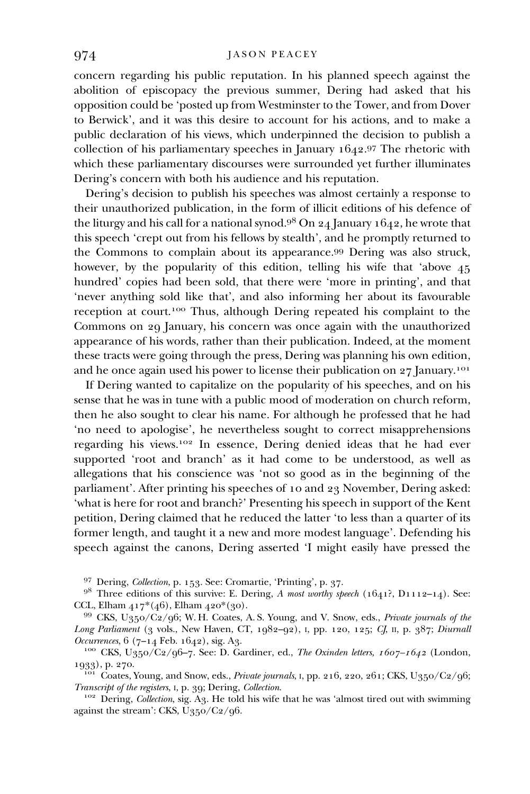concern regarding his public reputation. In his planned speech against the abolition of episcopacy the previous summer, Dering had asked that his opposition could be 'posted up from Westminster to the Tower, and from Dover to Berwick', and it was this desire to account for his actions, and to make a public declaration of his views, which underpinned the decision to publish a collection of his parliamentary speeches in January  $1642.97$  The rhetoric with which these parliamentary discourses were surrounded yet further illuminates Dering's concern with both his audience and his reputation.

Dering's decision to publish his speeches was almost certainly a response to their unauthorized publication, in the form of illicit editions of his defence of the liturgy and his call for a national synod.<sup>98</sup> On 24 January 1642, he wrote that this speech 'crept out from his fellows by stealth', and he promptly returned to the Commons to complain about its appearance.<sup>99</sup> Dering was also struck, however, by the popularity of this edition, telling his wife that 'above 45 hundred' copies had been sold, that there were 'more in printing', and that 'never anything sold like that', and also informing her about its favourable reception at court.<sup>100</sup> Thus, although Dering repeated his complaint to the Commons on 29 January, his concern was once again with the unauthorized appearance of his words, rather than their publication. Indeed, at the moment these tracts were going through the press, Dering was planning his own edition, and he once again used his power to license their publication on  $27$  January.<sup>101</sup>

If Dering wanted to capitalize on the popularity of his speeches, and on his sense that he was in tune with a public mood of moderation on church reform, then he also sought to clear his name. For although he professed that he had 'no need to apologise', he nevertheless sought to correct misapprehensions regarding his views.<sup>102</sup> In essence, Dering denied ideas that he had ever supported 'root and branch' as it had come to be understood, as well as allegations that his conscience was 'not so good as in the beginning of the parliament'. After printing his speeches of 10 and 23 November, Dering asked: 'what is here for root and branch?' Presenting his speech in support of the Kent petition, Dering claimed that he reduced the latter 'to less than a quarter of its former length, and taught it a new and more modest language'. Defending his speech against the canons, Dering asserted 'I might easily have pressed the

<sup>97</sup> Dering, *Collection*, p. 153. See: Cromartie, 'Printing', p. 37.<br><sup>98</sup> Three editions of this survive: E. Dering, *A most worthy speech* (1641?, D1112–14). See: CCL, Elham 417<sup>\*</sup>(46), Elham 420<sup>\*</sup>(30).

 $99$  CKS, U350/C2/96; W. H. Coates, A. S. Young, and V. Snow, eds., Private journals of the Long Parliament (3 vols., New Haven, CT,  $1082-02$ ), I, pp. 120, 125; CJ, II, p. 387; Diurnall

*Occurrences*,  $6$  ( $7-14$  Feb. 1642), sig. A3.<br><sup>100</sup> CKS, U350/C2/96-7. See: D. Gardiner, ed., *The Oxinden letters, 1607–1642* (London, 1933), p. 270.

 $\frac{101}{2}$  Coates, Young, and Snow, eds., *Private journals*, I, pp. 216, 220, 261; CKS, U350/C2/96;

Transcript of the registers, I, p. 39; Dering, *Collection*.<br><sup>102</sup> Dering, *Collection*, sig. A3. He told his wife that he was 'almost tired out with swimming against the stream': CKS,  $U_{350}/C_{2}/96$ .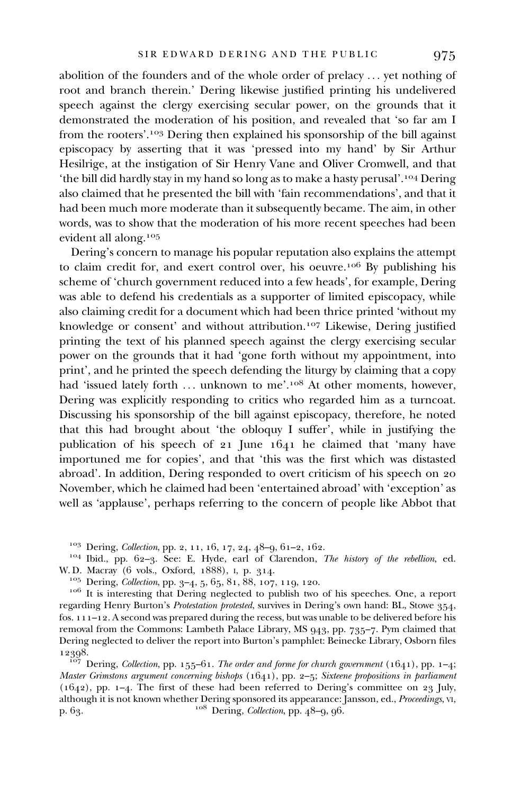abolition of the founders and of the whole order of prelacy ... yet nothing of root and branch therein.' Dering likewise justified printing his undelivered speech against the clergy exercising secular power, on the grounds that it demonstrated the moderation of his position, and revealed that 'so far am I from the rooters'.<sup>103</sup> Dering then explained his sponsorship of the bill against episcopacy by asserting that it was 'pressed into my hand' by Sir Arthur Hesilrige, at the instigation of Sir Henry Vane and Oliver Cromwell, and that 'the bill did hardly stay in my hand so long as to make a hasty perusal'.<sup>104</sup> Dering also claimed that he presented the bill with 'fain recommendations', and that it had been much more moderate than it subsequently became. The aim, in other words, was to show that the moderation of his more recent speeches had been evident all along.

Dering's concern to manage his popular reputation also explains the attempt to claim credit for, and exert control over, his oeuvre.<sup>106</sup> By publishing his scheme of 'church government reduced into a few heads', for example, Dering was able to defend his credentials as a supporter of limited episcopacy, while also claiming credit for a document which had been thrice printed 'without my knowledge or consent' and without attribution.<sup>107</sup> Likewise, Dering justified printing the text of his planned speech against the clergy exercising secular power on the grounds that it had 'gone forth without my appointment, into print', and he printed the speech defending the liturgy by claiming that a copy had 'issued lately forth ... unknown to me'.<sup>108</sup> At other moments, however, Dering was explicitly responding to critics who regarded him as a turncoat. Discussing his sponsorship of the bill against episcopacy, therefore, he noted that this had brought about 'the obloquy I suffer', while in justifying the publication of his speech of  $21$  June  $1641$  he claimed that 'many have importuned me for copies', and that 'this was the first which was distasted abroad'. In addition, Dering responded to overt criticism of his speech on 20 November, which he claimed had been 'entertained abroad' with 'exception' as well as 'applause', perhaps referring to the concern of people like Abbot that

- 
- <sup>103</sup> Dering, *Collection*, pp. 2, 11, 16, 17, 24, 48–9, 61–2, 162.<br><sup>104</sup> Ibid., pp. 62–3. See: E. Hyde, earl of Clarendon, *The history of the rebellion*, ed.<br>W. D. Macray (6 vols., Oxford, 1888), I, p. 314.
	- -

Master Grimstons argument concerning bishops  $(1641)$ , pp. 2-5; Sixteene propositions in parliament  $(1642)$ , pp. 1-4. The first of these had been referred to Dering's committee on 23 July, although it is not known whether Dering sponsored its appearance: Jansson, ed., Proceedings, VI, p.  $63.$   $\degree$   $\degree$   $\degree$  Dering, *Collection*, pp.  $48-9, 96.$ 

<sup>&</sup>lt;sup>105</sup> Dering, *Collection*, pp. 3–4, 5, 65, 81, 88, 107, 119, 120.<br><sup>106</sup> It is interesting that Dering neglected to publish two of his speeches. One, a report regarding Henry Burton's Protestation protested, survives in Dering's own hand: BL, Stowe 354, fos.  $111-12$ . A second was prepared during the recess, but was unable to be delivered before his removal from the Commons: Lambeth Palace Library, MS 943, pp. 735-7. Pym claimed that Dering neglected to deliver the report into Burton's pamphlet: Beinecke Library, Osborn files 12398.<br> $\frac{1007}{107}$  Dering, Collection, pp. 155–61. The order and forme for church government (1641), pp. 1–4;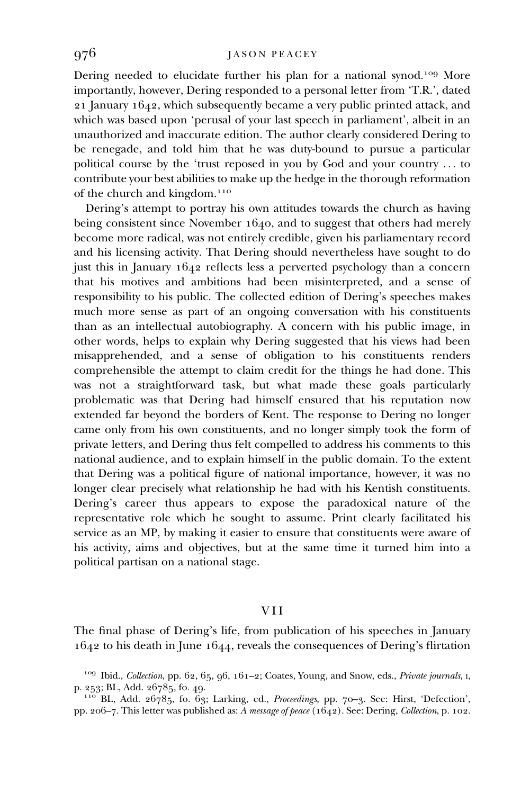### q76 JASON PEACEY

Dering needed to elucidate further his plan for a national synod.<sup>109</sup> More importantly, however, Dering responded to a personal letter from 'T.R.', dated  $21$  January 1642, which subsequently became a very public printed attack, and which was based upon 'perusal of your last speech in parliament', albeit in an unauthorized and inaccurate edition. The author clearly considered Dering to be renegade, and told him that he was duty-bound to pursue a particular political course by the 'trust reposed in you by God and your country ... to contribute your best abilities to make up the hedge in the thorough reformation of the church and kingdom.

Dering's attempt to portray his own attitudes towards the church as having being consistent since November 1640, and to suggest that others had merely become more radical, was not entirely credible, given his parliamentary record and his licensing activity. That Dering should nevertheless have sought to do just this in January  $1642$  reflects less a perverted psychology than a concern that his motives and ambitions had been misinterpreted, and a sense of responsibility to his public. The collected edition of Dering's speeches makes much more sense as part of an ongoing conversation with his constituents than as an intellectual autobiography. A concern with his public image, in other words, helps to explain why Dering suggested that his views had been misapprehended, and a sense of obligation to his constituents renders comprehensible the attempt to claim credit for the things he had done. This was not a straightforward task, but what made these goals particularly problematic was that Dering had himself ensured that his reputation now extended far beyond the borders of Kent. The response to Dering no longer came only from his own constituents, and no longer simply took the form of private letters, and Dering thus felt compelled to address his comments to this national audience, and to explain himself in the public domain. To the extent that Dering was a political figure of national importance, however, it was no longer clear precisely what relationship he had with his Kentish constituents. Dering's career thus appears to expose the paradoxical nature of the representative role which he sought to assume. Print clearly facilitated his service as an MP, by making it easier to ensure that constituents were aware of his activity, aims and objectives, but at the same time it turned him into a political partisan on a national stage.

### VII

The final phase of Dering's life, from publication of his speeches in January  $1642$  to his death in June  $1644$ , reveals the consequences of Dering's flirtation

<sup>&</sup>lt;sup>109</sup> Ibid., Collection, pp. 62, 65, 96, 161-2; Coates, Young, and Snow, eds., Private journals, I, p. 253; BL, Add. 26785, fo. 49.<br> $\frac{110}{10}$  BL, Add. 26785, fo. 63; Larking, ed., *Proceedings*, pp. 70–3. See: Hirst, 'Defection',

pp. 206-7. This letter was published as:  $\overline{A}$  message of peace (1642). See: Dering, Collection, p. 102.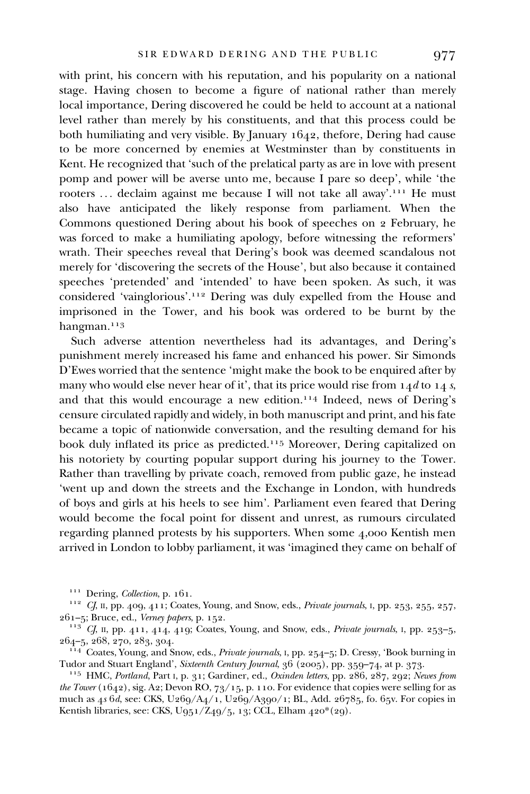with print, his concern with his reputation, and his popularity on a national stage. Having chosen to become a figure of national rather than merely local importance, Dering discovered he could be held to account at a national level rather than merely by his constituents, and that this process could be both humiliating and very visible. By January  $1642$ , thefore, Dering had cause to be more concerned by enemies at Westminster than by constituents in Kent. He recognized that 'such of the prelatical party as are in love with present pomp and power will be averse unto me, because I pare so deep', while 'the rooters ... declaim against me because I will not take all away'.<sup>111</sup> He must also have anticipated the likely response from parliament. When the Commons questioned Dering about his book of speeches on 2 February, he was forced to make a humiliating apology, before witnessing the reformers' wrath. Their speeches reveal that Dering's book was deemed scandalous not merely for 'discovering the secrets of the House', but also because it contained speeches 'pretended' and 'intended' to have been spoken. As such, it was considered 'vainglorious'.<sup>112</sup> Dering was duly expelled from the House and imprisoned in the Tower, and his book was ordered to be burnt by the hangman.

Such adverse attention nevertheless had its advantages, and Dering's punishment merely increased his fame and enhanced his power. Sir Simonds D'Ewes worried that the sentence 'might make the book to be enquired after by many who would else never hear of it', that its price would rise from  $14d$  to  $14s$ , and that this would encourage a new edition.<sup>114</sup> Indeed, news of Dering's censure circulated rapidly and widely, in both manuscript and print, and his fate became a topic of nationwide conversation, and the resulting demand for his book duly inflated its price as predicted.<sup>115</sup> Moreover, Dering capitalized on his notoriety by courting popular support during his journey to the Tower. Rather than travelling by private coach, removed from public gaze, he instead 'went up and down the streets and the Exchange in London, with hundreds of boys and girls at his heels to see him'. Parliament even feared that Dering would become the focal point for dissent and unrest, as rumours circulated regarding planned protests by his supporters. When some  $_4,000$  Kentish men arrived in London to lobby parliament, it was 'imagined they came on behalf of

<sup>111</sup> Dering, *Collection*, p. 161.<br><sup>112</sup> *CJ*, II, pp. 409, 411; Coates, Young, and Snow, eds., *Private journals*, I, pp. 253, 255, 257, 261–5; Bruce, ed., *Verney papers*, p. 152.<br><sup>113</sup>  $CJ$ , II, pp. 411, 414, 419; Coates, Young, and Snow, eds., *Private journals*, I, pp. 253–5,

264–5, 268, 270, 283, 304.<br>  $^{114}$  Coates, Young, and Snow, eds., *Private journals*, I, pp. 254–5; D. Cressy, 'Book burning in Tudor and Stuart England', *Sixteenth Century Journal*, 36 (2005), pp. 359–74, at p. 373.

<sup>115</sup> HMC, Portland, Part I, p. 31; Gardiner, ed., Oxinden letters, pp. 286, 287, 292; Newes from the Tower (1642), sig. A2; Devon RO,  $73/15$ , p. 110. For evidence that copies were selling for as much as 4s 6d, see: CKS, U269/A4/1, U269/A390/1; BL, Add. 26785, fo. 65v. For copies in Kentish libraries, see: CKS, U951/Z<sub>49</sub>/5, 13; CCL, Elham  $420*(29)$ .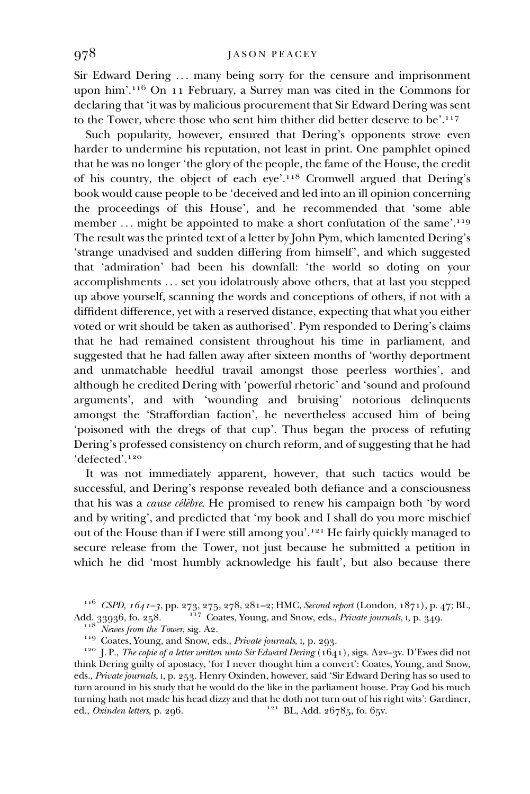Sir Edward Dering ... many being sorry for the censure and imprisonment upon him'.<sup>116</sup> On 11 February, a Surrey man was cited in the Commons for declaring that 'it was by malicious procurement that Sir Edward Dering was sent to the Tower, where those who sent him thither did better deserve to be'.<sup>117</sup>

Such popularity, however, ensured that Dering's opponents strove even harder to undermine his reputation, not least in print. One pamphlet opined that he was no longer 'the glory of the people, the fame of the House, the credit of his country, the object of each eye'.<sup>118</sup> Cromwell argued that Dering's book would cause people to be 'deceived and led into an ill opinion concerning the proceedings of this House', and he recommended that 'some able member ... might be appointed to make a short confutation of the same'.<sup>119</sup> The result was the printed text of a letter by John Pym, which lamented Dering's 'strange unadvised and sudden differing from himself', and which suggested that 'admiration' had been his downfall: 'the world so doting on your accomplishments ... set you idolatrously above others, that at last you stepped up above yourself, scanning the words and conceptions of others, if not with a diffident difference, yet with a reserved distance, expecting that what you either voted or writ should be taken as authorised'. Pym responded to Dering's claims that he had remained consistent throughout his time in parliament, and suggested that he had fallen away after sixteen months of 'worthy deportment and unmatchable heedful travail amongst those peerless worthies', and although he credited Dering with 'powerful rhetoric' and 'sound and profound arguments', and with 'wounding and bruising' notorious delinquents amongst the 'Straffordian faction', he nevertheless accused him of being 'poisoned with the dregs of that cup'. Thus began the process of refuting Dering's professed consistency on church reform, and of suggesting that he had 'defected'.

It was not immediately apparent, however, that such tactics would be successful, and Dering's response revealed both defiance and a consciousness that his was a *cause célèbre*. He promised to renew his campaign both 'by word and by writing', and predicted that 'my book and I shall do you more mischief out of the House than if I were still among you'.<sup>121</sup> He fairly quickly managed to secure release from the Tower, not just because he submitted a petition in which he did 'most humbly acknowledge his fault', but also because there

 $^{116}\,$  CSPD,  $\emph{1641--3},$  pp. 273, 275, 278, 281–2; HMC, Second report (London, 1871), p. 47; BL, Add. 33936, fo. 258. <sup>117</sup> Coates, Young, and Snow, eds., *Private journals*, 1, p. 349.<br><sup>118</sup> Newes from the Tower, sig. A2.<br><sup>119</sup> Coates, Young, and Snow, eds., *Private journals*, 1, p. 293.<br><sup>120</sup> J. P., *The copie of a* 

think Dering guilty of apostacy, 'for I never thought him a convert': Coates, Young, and Snow, eds., Private journals, I, p. 253. Henry Oxinden, however, said 'Sir Edward Dering has so used to turn around in his study that he would do the like in the parliament house. Pray God his much turning hath not made his head dizzy and that he doth not turn out of his right wits': Gardiner, ed., Oxinden letters, p. 296.  $^{121}$  BL, Add. 26785, fo. 65v.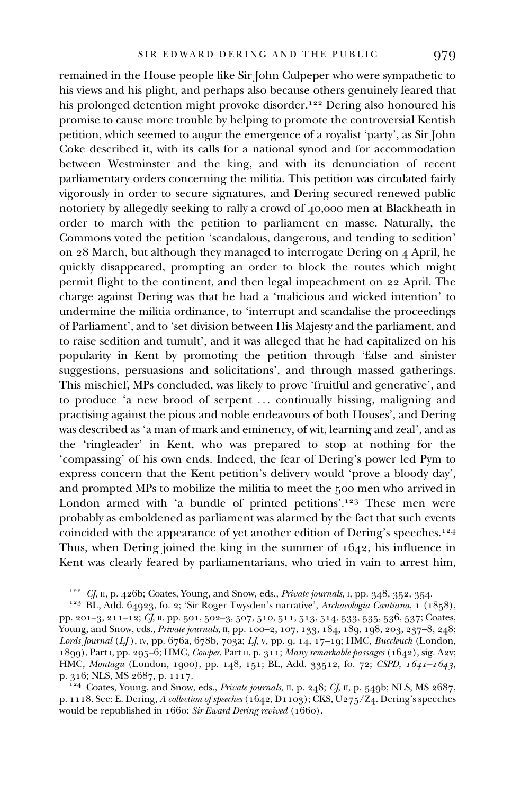remained in the House people like Sir John Culpeper who were sympathetic to his views and his plight, and perhaps also because others genuinely feared that his prolonged detention might provoke disorder.<sup>122</sup> Dering also honoured his promise to cause more trouble by helping to promote the controversial Kentish petition, which seemed to augur the emergence of a royalist 'party', as Sir John Coke described it, with its calls for a national synod and for accommodation between Westminster and the king, and with its denunciation of recent parliamentary orders concerning the militia. This petition was circulated fairly vigorously in order to secure signatures, and Dering secured renewed public notoriety by allegedly seeking to rally a crowd of  $40,000$  men at Blackheath in order to march with the petition to parliament en masse. Naturally, the Commons voted the petition 'scandalous, dangerous, and tending to sedition' on  $28$  March, but although they managed to interrogate Dering on  $4$  April, he quickly disappeared, prompting an order to block the routes which might permit flight to the continent, and then legal impeachment on  $22$  April. The charge against Dering was that he had a 'malicious and wicked intention' to undermine the militia ordinance, to 'interrupt and scandalise the proceedings of Parliament', and to 'set division between His Majesty and the parliament, and to raise sedition and tumult', and it was alleged that he had capitalized on his popularity in Kent by promoting the petition through 'false and sinister suggestions, persuasions and solicitations', and through massed gatherings. This mischief, MPs concluded, was likely to prove 'fruitful and generative', and to produce 'a new brood of serpent ... continually hissing, maligning and practising against the pious and noble endeavours of both Houses', and Dering was described as 'a man of mark and eminency, of wit, learning and zeal', and as the 'ringleader' in Kent, who was prepared to stop at nothing for the 'compassing' of his own ends. Indeed, the fear of Dering's power led Pym to express concern that the Kent petition's delivery would 'prove a bloody day', and prompted MPs to mobilize the militia to meet the 500 men who arrived in London armed with 'a bundle of printed petitions'.<sup>123</sup> These men were probably as emboldened as parliament was alarmed by the fact that such events coincided with the appearance of yet another edition of Dering's speeches.<sup>124</sup> Thus, when Dering joined the king in the summer of  $1642$ , his influence in Kent was clearly feared by parliamentarians, who tried in vain to arrest him,

<sup>122</sup> CJ, II, p. 426b; Coates, Young, and Snow, eds., *Private journals*, I, pp. 348, 352, 354.<br><sup>123</sup> BL, Add. 64923, fo. 2; 'Sir Roger Twysden's narrative', *Archaeologia Cantiana*, 1 (1858), pp. 201-3, 211-12; CJ, II, pp. 501, 502-3, 507, 510, 511, 513, 514, 533, 535, 536, 537; Coates, Young, and Snow, eds., *Private journals*, II, pp. 100-2, 107, 133, 184, 189, 198, 203, 237-8, 248; Lords Journal (LJ), IV, pp.  $676a, 678b, 703a, LJ, V, pp. 9, 14, 17-19$ ; HMC, Buccleuch (London, 1899), Part I, pp. 295-6; HMC, Cowper, Part II, p. 311; Many remarkable passages (1642), sig. A2v; HMC, *Montagu* (London, 1900), pp. 148, 151; BL, Add. 33512, fo. 72; CSPD, 1641-1643, p. 316; NLS, MS 2687, p. 1117.

 $p. 124$  Coates, Young, and Snow, eds., Private journals, II, p. 248; CJ, II, p. 549b; NLS, MS 2687, p. 1118. See: E. Dering, A collection of speeches  $(1642, D1103)$ ; CKS, U275/Z4. Dering's speeches would be republished in 1660: Sir Eward Dering revived (1660).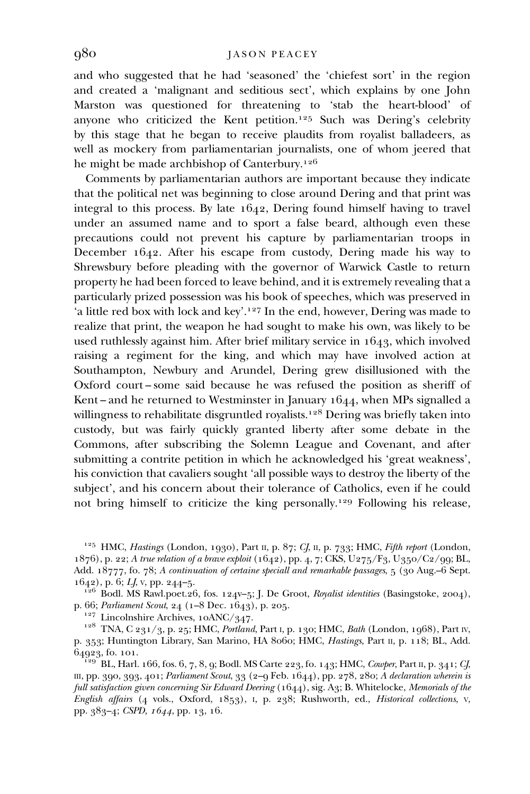and who suggested that he had 'seasoned' the 'chiefest sort' in the region and created a 'malignant and seditious sect', which explains by one John Marston was questioned for threatening to 'stab the heart-blood' of anyone who criticized the Kent petition.<sup>125</sup> Such was Dering's celebrity by this stage that he began to receive plaudits from royalist balladeers, as well as mockery from parliamentarian journalists, one of whom jeered that he might be made archbishop of Canterbury.<sup>126</sup>

Comments by parliamentarian authors are important because they indicate that the political net was beginning to close around Dering and that print was integral to this process. By late  $1642$ , Dering found himself having to travel under an assumed name and to sport a false beard, although even these precautions could not prevent his capture by parliamentarian troops in December  $1642$ . After his escape from custody, Dering made his way to Shrewsbury before pleading with the governor of Warwick Castle to return property he had been forced to leave behind, and it is extremely revealing that a particularly prized possession was his book of speeches, which was preserved in 'a little red box with lock and key'.<sup>127</sup> In the end, however, Dering was made to realize that print, the weapon he had sought to make his own, was likely to be used ruthlessly against him. After brief military service in  $1643$ , which involved raising a regiment for the king, and which may have involved action at Southampton, Newbury and Arundel, Dering grew disillusioned with the Oxford court – some said because he was refused the position as sheriff of Kent – and he returned to Westminster in January  $1644$ , when MPs signalled a willingness to rehabilitate disgruntled royalists.<sup>128</sup> Dering was briefly taken into custody, but was fairly quickly granted liberty after some debate in the Commons, after subscribing the Solemn League and Covenant, and after submitting a contrite petition in which he acknowledged his 'great weakness', his conviction that cavaliers sought 'all possible ways to destroy the liberty of the subject', and his concern about their tolerance of Catholics, even if he could not bring himself to criticize the king personally.<sup>129</sup> Following his release,

<sup>125</sup> HMC, *Hastings* (London, 1930), Part II, p. 87; CJ, II, p. 733; HMC, Fifth report (London,  $(1876)$ , p. 22; A true relation of a brave exploit  $(1642)$ , pp. 4, 7; CKS, U275/F3, U350/C2/99; BL, Add.  $18777$ , fo. 78; A continuation of certaine speciall and remarkable passages,  $5$  (30 Aug.–6 Sept.

1642), p. 6; *LJ*, v, pp. 244-5.<br><sup>126</sup> Bodl. MS Rawl.poet.26, fos. 124v–5; J. De Groot, *Royalist identities* (Basingstoke, 2004), p. 66; *Parliament Scout*, 24 (1–8 Dec. 1643), p. 205.

<sup>127</sup> Lincolnshire Archives, 10ANC/347.<br><sup>128</sup> TNA, C 231/3, p. 25; HMC, *Portland*, Part I, p. 130; HMC, *Bath* (London, 1968), Part IV, p. 353; Huntington Library, San Marino, HA 8060; HMC, Hastings, Part II, p. 118; BL, Add. 64923, fo. 101.<br><sup>129</sup> BL, Harl. 166, fos. 6, 7, 8, 9; Bodl. MS Carte 223, fo. 143; HMC, *Cowper*, Part II, p. 341; *CJ*,

III, pp. 390, 393, 401; Parliament Scout, 33 (2-9 Feb. 1644), pp. 278, 280; A declaration wherein is full satisfaction given concerning Sir Edward Deering (1644), sig. A3; B. Whitelocke, Memorials of the English affairs (4 vols., Oxford, 1853), I, p. 238; Rushworth, ed., Historical collections, v, pp. 383-4; CSPD, 1644, pp. 13, 16.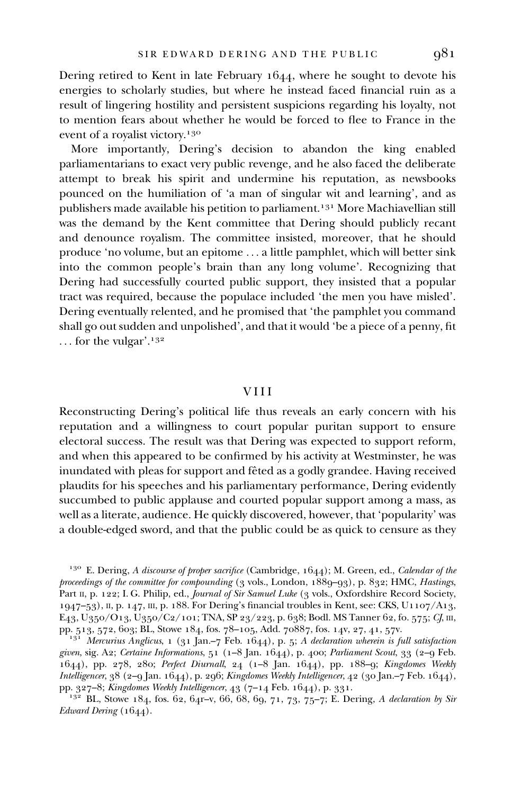event of a royalist victory.

More importantly, Dering's decision to abandon the king enabled parliamentarians to exact very public revenge, and he also faced the deliberate attempt to break his spirit and undermine his reputation, as newsbooks pounced on the humiliation of 'a man of singular wit and learning', and as publishers made available his petition to parliament.<sup>131</sup> More Machiavellian still was the demand by the Kent committee that Dering should publicly recant and denounce royalism. The committee insisted, moreover, that he should produce 'no volume, but an epitome ... a little pamphlet, which will better sink into the common people's brain than any long volume'. Recognizing that Dering had successfully courted public support, they insisted that a popular tract was required, because the populace included 'the men you have misled'. Dering eventually relented, and he promised that 'the pamphlet you command shall go out sudden and unpolished', and that it would 'be a piece of a penny, fit ... for the vulgar'.<sup>132</sup>

#### VIII

Reconstructing Dering's political life thus reveals an early concern with his reputation and a willingness to court popular puritan support to ensure electoral success. The result was that Dering was expected to support reform, and when this appeared to be confirmed by his activity at Westminster, he was inundated with pleas for support and fêted as a godly grandee. Having received plaudits for his speeches and his parliamentary performance, Dering evidently succumbed to public applause and courted popular support among a mass, as well as a literate, audience. He quickly discovered, however, that 'popularity' was a double-edged sword, and that the public could be as quick to censure as they

<sup>132</sup> BL, Stowe 184, fos. 62, 64r-v, 66, 68, 69, 71, 73, 75-7; E. Dering, A declaration by Sir  $Edward$  Dering  $(1644)$ .

 $130$  E. Dering, A discourse of proper sacrifice (Cambridge, 1644); M. Green, ed., Calendar of the proceedings of the committee for compounding (3 vols., London, 1889-93), p. 832; HMC, Hastings, Part II, p. 122; I. G. Philip, ed., Journal of Sir Samuel Luke (3 vols., Oxfordshire Record Society, 1947-53), II, p. 147, III, p. 188. For Dering's financial troubles in Kent, see: CKS, U1107/A13, E43, U350/O13, U350/C2/101; TNA, SP  $23/223$ , p. 638; Bodl. MS Tanner 62, fo. 575; CJ, III, pp. 513, 572, 603; BL, Stowe 184, fos. 78–105, Add. 70887, fos. 14v, 27, 41, 57v.

<sup>&</sup>lt;sup>131</sup> Mercurius Anglicus, 1 (31 Jan.–7 Feb. 1644), p. 5; A declaration wherein is full satisfaction given, sig. A2; Certaine Informations,  $51$  (1-8 Jan. 1644), p. 400; Parliament Scout,  $33$  (2-9 Feb. 1644), pp. 278, 280; Perfect Diurnall, 24 (1-8 Jan. 1644), pp. 188-9; Kingdomes Weekly *Intelligencer*,  $38$  (2-9 Jan.  $1644$ ), p. 296; *Kingdomes Weekly Intelligencer*,  $42$  (30 Jan.–7 Feb.  $1644$ ), pp. 327–8; *Kingdomes Weekly Intelligencer*,  $43$  (7–14 Feb. 1644), p. 331.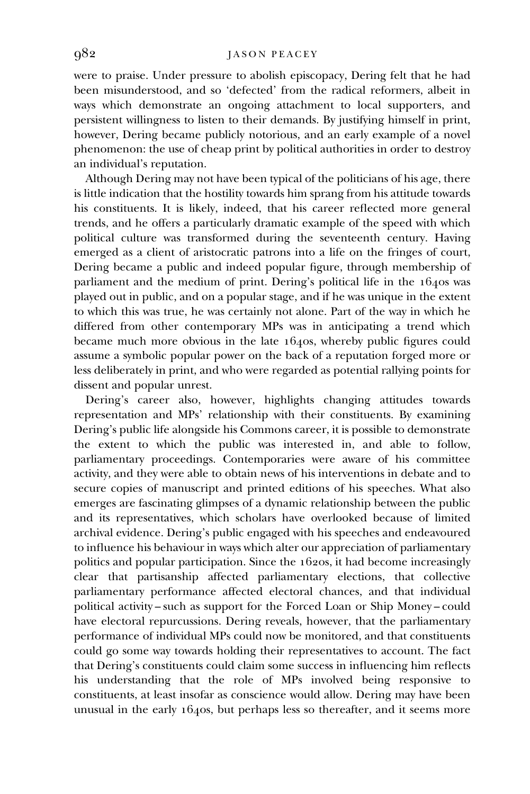were to praise. Under pressure to abolish episcopacy, Dering felt that he had been misunderstood, and so 'defected' from the radical reformers, albeit in ways which demonstrate an ongoing attachment to local supporters, and persistent willingness to listen to their demands. By justifying himself in print, however, Dering became publicly notorious, and an early example of a novel phenomenon: the use of cheap print by political authorities in order to destroy an individual's reputation.

Although Dering may not have been typical of the politicians of his age, there is little indication that the hostility towards him sprang from his attitude towards his constituents. It is likely, indeed, that his career reflected more general trends, and he offers a particularly dramatic example of the speed with which political culture was transformed during the seventeenth century. Having emerged as a client of aristocratic patrons into a life on the fringes of court, Dering became a public and indeed popular figure, through membership of parliament and the medium of print. Dering's political life in the  $164$ os was played out in public, and on a popular stage, and if he was unique in the extent to which this was true, he was certainly not alone. Part of the way in which he differed from other contemporary MPs was in anticipating a trend which became much more obvious in the late  $164$ os, whereby public figures could assume a symbolic popular power on the back of a reputation forged more or less deliberately in print, and who were regarded as potential rallying points for dissent and popular unrest.

Dering's career also, however, highlights changing attitudes towards representation and MPs' relationship with their constituents. By examining Dering's public life alongside his Commons career, it is possible to demonstrate the extent to which the public was interested in, and able to follow, parliamentary proceedings. Contemporaries were aware of his committee activity, and they were able to obtain news of his interventions in debate and to secure copies of manuscript and printed editions of his speeches. What also emerges are fascinating glimpses of a dynamic relationship between the public and its representatives, which scholars have overlooked because of limited archival evidence. Dering's public engaged with his speeches and endeavoured to influence his behaviour in ways which alter our appreciation of parliamentary politics and popular participation. Since the 1620s, it had become increasingly clear that partisanship affected parliamentary elections, that collective parliamentary performance affected electoral chances, and that individual political activity – such as support for the Forced Loan or Ship Money – could have electoral repurcussions. Dering reveals, however, that the parliamentary performance of individual MPs could now be monitored, and that constituents could go some way towards holding their representatives to account. The fact that Dering's constituents could claim some success in influencing him reflects his understanding that the role of MPs involved being responsive to constituents, at least insofar as conscience would allow. Dering may have been unusual in the early  $164\sigma s$ , but perhaps less so thereafter, and it seems more